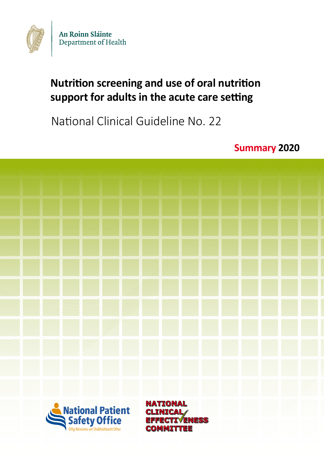

# **Nutrition screening and use of oral nutrition support for adults in the acute care setting**

National Clinical Guideline No. 22

**Summary 2020** 

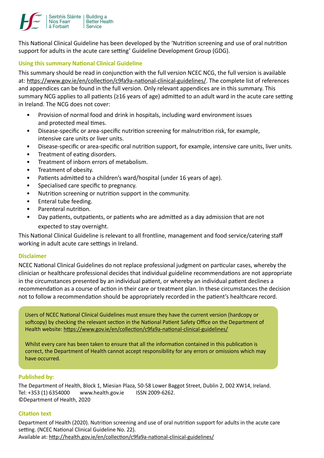

This National Clinical Guideline has been developed by the 'Nutrition screening and use of oral nutrition support for adults in the acute care setting' Guideline Development Group (GDG).

# **Using this summary National Clinical Guideline**

This summary should be read in conjunction with the full version NCEC NCG, the full version is available at: https://www.gov.ie/en/collection/c9fa9a-national-clinical-guidelines/. The complete list of references and appendices can be found in the full version. Only relevant appendices are in this summary. This summary NCG applies to all patients (≥16 years of age) admitted to an adult ward in the acute care setting in Ireland. The NCG does not cover:

- Provision of normal food and drink in hospitals, including ward environment issues and protected meal times.
- Disease-specific or area-specific nutrition screening for malnutrition risk, for example, intensive care units or liver units.
- Disease-specific or area-specific oral nutrition support, for example, intensive care units, liver units.
- Treatment of eating disorders.
- Treatment of inborn errors of metabolism.
- Treatment of obesity.
- Patients admitted to a children's ward/hospital (under 16 years of age).
- Specialised care specific to pregnancy.
- Nutrition screening or nutrition support in the community.
- Enteral tube feeding.
- Parenteral nutrition.
- Day patients, outpatients, or patients who are admitted as a day admission that are not expected to stay overnight.

This National Clinical Guideline is relevant to all frontline, management and food service/catering staff working in adult acute care settings in Ireland.

# **Disclaimer**

NCEC National Clinical Guidelines do not replace professional judgment on particular cases, whereby the clinician or healthcare professional decides that individual guideline recommendations are not appropriate in the circumstances presented by an individual patient, or whereby an individual patient declines a recommendation as a course of action in their care or treatment plan. In these circumstances the decision not to follow a recommendation should be appropriately recorded in the patient's healthcare record.

Users of NCEC National Clinical Guidelines must ensure they have the current version (hardcopy or softcopy) by checking the relevant section in the National Patient Safety Office on the Department of Health website: https://www.gov.ie/en/collection/c9fa9a-national-clinical-guidelines/

Whilst every care has been taken to ensure that all the information contained in this publication is correct, the Department of Health cannot accept responsibility for any errors or omissions which may have occurred.

# **Published by:**

The Department of Health, Block 1, Miesian Plaza, 50-58 Lower Baggot Street, Dublin 2, D02 XW14, Ireland. Tel: +353 (1) 6354000 www.health.gov.ie ISSN 2009-6262. ©Department of Health, 2020

# **Citation text**

Department of Health (2020). Nutrition screening and use of oral nutrition support for adults in the acute care setting. (NCEC National Clinical Guideline No. 22). Available at: http://health.gov.ie/en/collection/c9fa9a-national-clinical-guidelines/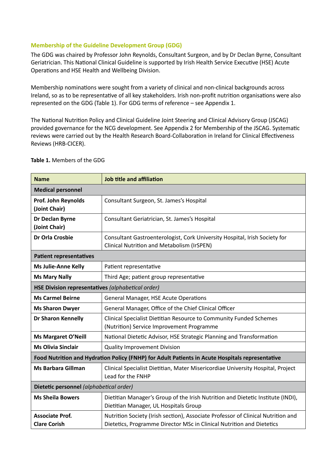# **Membership of the Guideline Development Group (GDG)**

The GDG was chaired by Professor John Reynolds, Consultant Surgeon, and by Dr Declan Byrne, Consultant Geriatrician. This National Clinical Guideline is supported by Irish Health Service Executive (HSE) Acute Operations and HSE Health and Wellbeing Division.

Membership nominations were sought from a variety of clinical and non-clinical backgrounds across Ireland, so as to be representative of all key stakeholders. Irish non-profit nutrition organisations were also represented on the GDG (Table 1). For GDG terms of reference – see Appendix 1.

The National Nutrition Policy and Clinical Guideline Joint Steering and Clinical Advisory Group (JSCAG) provided governance for the NCG development. See Appendix 2 for Membership of the JSCAG. Systematic reviews were carried out by the Health Research Board-Collaboration in Ireland for Clinical Effectiveness Reviews (HRB-CICER).

| <b>Name</b>                                       | <b>Job title and affiliation</b>                                                                                                                          |  |
|---------------------------------------------------|-----------------------------------------------------------------------------------------------------------------------------------------------------------|--|
| <b>Medical personnel</b>                          |                                                                                                                                                           |  |
| Prof. John Reynolds<br>(Joint Chair)              | Consultant Surgeon, St. James's Hospital                                                                                                                  |  |
| Dr Declan Byrne<br>(Joint Chair)                  | Consultant Geriatrician, St. James's Hospital                                                                                                             |  |
| Dr Orla Crosbie                                   | Consultant Gastroenterologist, Cork University Hospital, Irish Society for<br><b>Clinical Nutrition and Metabolism (IrSPEN)</b>                           |  |
| <b>Patient representatives</b>                    |                                                                                                                                                           |  |
| <b>Ms Julie-Anne Kelly</b>                        | Patient representative                                                                                                                                    |  |
| <b>Ms Mary Nally</b>                              | Third Age; patient group representative                                                                                                                   |  |
| HSE Division representatives (alphabetical order) |                                                                                                                                                           |  |
| <b>Ms Carmel Beirne</b>                           | <b>General Manager, HSE Acute Operations</b>                                                                                                              |  |
| <b>Ms Sharon Dwyer</b>                            | General Manager, Office of the Chief Clinical Officer                                                                                                     |  |
| <b>Dr Sharon Kennelly</b>                         | Clinical Specialist Dietitian Resource to Community Funded Schemes<br>(Nutrition) Service Improvement Programme                                           |  |
| <b>Ms Margaret O'Neill</b>                        | National Dietetic Advisor, HSE Strategic Planning and Transformation                                                                                      |  |
| <b>Ms Olivia Sinclair</b>                         | <b>Quality Improvement Division</b>                                                                                                                       |  |
|                                                   | Food Nutrition and Hydration Policy (FNHP) for Adult Patients in Acute Hospitals representative                                                           |  |
| <b>Ms Barbara Gillman</b>                         | Clinical Specialist Dietitian, Mater Misericordiae University Hospital, Project<br>Lead for the FNHP                                                      |  |
| Dietetic personnel (alphabetical order)           |                                                                                                                                                           |  |
| <b>Ms Sheila Bowers</b>                           | Dietitian Manager's Group of the Irish Nutrition and Dietetic Institute (INDI),<br>Dietitian Manager, UL Hospitals Group                                  |  |
| <b>Associate Prof.</b><br><b>Clare Corish</b>     | Nutrition Society (Irish section), Associate Professor of Clinical Nutrition and<br>Dietetics, Programme Director MSc in Clinical Nutrition and Dietetics |  |

# **Table 1.** Members of the GDG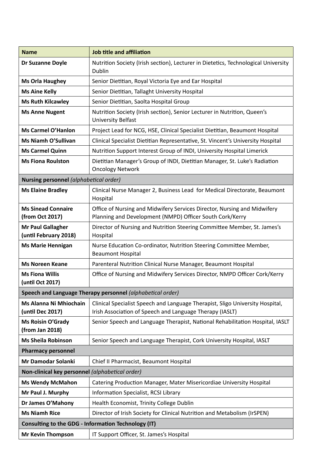| <b>Name</b>                                         | <b>Job title and affiliation</b>                                                                                                          |
|-----------------------------------------------------|-------------------------------------------------------------------------------------------------------------------------------------------|
| Dr Suzanne Doyle                                    | Nutrition Society (Irish section), Lecturer in Dietetics, Technological University<br>Dublin                                              |
| <b>Ms Orla Haughey</b>                              | Senior Dietitian, Royal Victoria Eye and Ear Hospital                                                                                     |
| <b>Ms Aine Kelly</b>                                | Senior Dietitian, Tallaght University Hospital                                                                                            |
| <b>Ms Ruth Kilcawley</b>                            | Senior Dietitian, Saolta Hospital Group                                                                                                   |
| <b>Ms Anne Nugent</b>                               | Nutrition Society (Irish section), Senior Lecturer in Nutrition, Queen's<br><b>University Belfast</b>                                     |
| <b>Ms Carmel O'Hanlon</b>                           | Project Lead for NCG, HSE, Clinical Specialist Dietitian, Beaumont Hospital                                                               |
| <b>Ms Niamh O'Sullivan</b>                          | Clinical Specialist Dietitian Representative, St. Vincent's University Hospital                                                           |
| <b>Ms Carmel Quinn</b>                              | Nutrition Support Interest Group of INDI, University Hospital Limerick                                                                    |
| <b>Ms Fiona Roulston</b>                            | Dietitian Manager's Group of INDI, Dietitian Manager, St. Luke's Radiation<br><b>Oncology Network</b>                                     |
| Nursing personnel (alphabetical order)              |                                                                                                                                           |
| <b>Ms Elaine Bradley</b>                            | Clinical Nurse Manager 2, Business Lead for Medical Directorate, Beaumont<br>Hospital                                                     |
| <b>Ms Sinead Connaire</b><br>(from Oct 2017)        | Office of Nursing and Midwifery Services Director, Nursing and Midwifery<br>Planning and Development (NMPD) Officer South Cork/Kerry      |
| Mr Paul Gallagher<br>(until February 2018)          | Director of Nursing and Nutrition Steering Committee Member, St. James's<br>Hospital                                                      |
| <b>Ms Marie Hennigan</b>                            | Nurse Education Co-ordinator, Nutrition Steering Committee Member,<br><b>Beaumont Hospital</b>                                            |
| <b>Ms Noreen Keane</b>                              | Parenteral Nutrition Clinical Nurse Manager, Beaumont Hospital                                                                            |
| <b>Ms Fiona Willis</b><br>(until Oct 2017)          | Office of Nursing and Midwifery Services Director, NMPD Officer Cork/Kerry                                                                |
|                                                     | Speech and Language Therapy personnel (alphabetical order)                                                                                |
| Ms Alanna Ni Mhiochain<br>(until Dec 2017)          | Clinical Specialist Speech and Language Therapist, Sligo University Hospital,<br>Irish Association of Speech and Language Therapy (IASLT) |
| <b>Ms Roisin O'Grady</b><br>(from Jan 2018)         | Senior Speech and Language Therapist, National Rehabilitation Hospital, IASLT                                                             |
| <b>Ms Sheila Robinson</b>                           | Senior Speech and Language Therapist, Cork University Hospital, IASLT                                                                     |
| <b>Pharmacy personnel</b>                           |                                                                                                                                           |
| Mr Damodar Solanki                                  | Chief II Pharmacist, Beaumont Hospital                                                                                                    |
| Non-clinical key personnel (alphabetical order)     |                                                                                                                                           |
| <b>Ms Wendy McMahon</b>                             | Catering Production Manager, Mater Misericordiae University Hospital                                                                      |
| Mr Paul J. Murphy                                   | Information Specialist, RCSI Library                                                                                                      |
| Dr James O'Mahony                                   | Health Economist, Trinity College Dublin                                                                                                  |
| <b>Ms Niamh Rice</b>                                | Director of Irish Society for Clinical Nutrition and Metabolism (IrSPEN)                                                                  |
| Consulting to the GDG - Information Technology (IT) |                                                                                                                                           |
| <b>Mr Kevin Thompson</b>                            | IT Support Officer, St. James's Hospital                                                                                                  |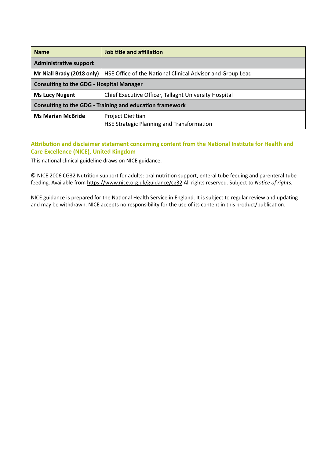| <b>Name</b>                                              | Job title and affiliation                                  |  |
|----------------------------------------------------------|------------------------------------------------------------|--|
| <b>Administrative support</b>                            |                                                            |  |
| Mr Niall Brady (2018 only)                               | HSE Office of the National Clinical Advisor and Group Lead |  |
| <b>Consulting to the GDG - Hospital Manager</b>          |                                                            |  |
| <b>Ms Lucy Nugent</b>                                    | Chief Executive Officer, Tallaght University Hospital      |  |
| Consulting to the GDG - Training and education framework |                                                            |  |
| <b>Ms Marian McBride</b>                                 | Project Dietitian                                          |  |
|                                                          | HSE Strategic Planning and Transformation                  |  |

# **Attribution and disclaimer statement concerning content from the National Institute for Health and Care Excellence (NICE), United Kingdom**

This national clinical guideline draws on NICE guidance.

© NICE 2006 CG32 Nutrition support for adults: oral nutrition support, enteral tube feeding and parenteral tube feeding. Available from https://www.nice.org.uk/guidance/cg32 All rights reserved. Subject to *Notice of rights.*

NICE guidance is prepared for the National Health Service in England. It is subject to regular review and updating and may be withdrawn. NICE accepts no responsibility for the use of its content in this product/publication.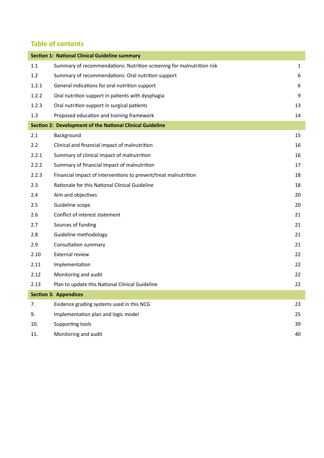# **Table of contents**

|                              | <b>Section 1: National Clinical Guideline summary</b>                 |    |
|------------------------------|-----------------------------------------------------------------------|----|
| 1.1                          | Summary of recommendations: Nutrition screening for malnutrition risk | 1  |
| 1.2                          | Summary of recommendations: Oral nutrition support                    | 6  |
| 1.2.1                        | General indications for oral nutrition support                        | 6  |
| 1.2.2                        | Oral nutrition support in patients with dysphagia                     | 9  |
| 1.2.3                        | Oral nutrition support in surgical patients                           | 13 |
| 1.3                          | Proposed education and training framework                             | 14 |
|                              | Section 2: Development of the National Clinical Guideline             |    |
| 2.1                          | Background                                                            | 15 |
| 2.2                          | Clinical and financial impact of malnutrition                         | 16 |
| 2.2.1                        | Summary of clinical impact of malnutrition                            | 16 |
| 2.2.2                        | Summary of financial impact of malnutrition                           | 17 |
| 2.2.3                        | Financial impact of interventions to prevent/treat malnutrition       | 18 |
| 2.3                          | Rationale for this National Clinical Guideline                        | 18 |
| 2.4                          | Aim and objectives                                                    | 20 |
| 2.5                          | Guideline scope                                                       | 20 |
| 2.6                          | Conflict of interest statement                                        | 21 |
| 2.7                          | Sources of funding                                                    | 21 |
| 2.8                          | Guideline methodology                                                 | 21 |
| 2.9                          | Consultation summary                                                  | 21 |
| 2.10                         | <b>External review</b>                                                | 22 |
| 2.11                         | Implementation                                                        | 22 |
| 2.12                         | Monitoring and audit                                                  | 22 |
| 2.13                         | Plan to update this National Clinical Guideline                       | 22 |
| <b>Section 3: Appendices</b> |                                                                       |    |
| 7.                           | Evidence grading systems used in this NCG                             | 23 |
| 9.                           | Implementation plan and logic model                                   | 25 |
| 10.                          | Supporting tools                                                      | 39 |
| 11.                          | Monitoring and audit                                                  | 40 |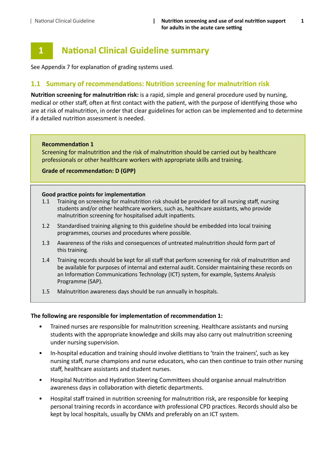# <span id="page-8-0"></span>**1 National Clinical Guideline summary**

See Appendix 7 for explanation of grading systems used.

# **1.1 Summary of recommendations: Nutrition screening for malnutrition risk**

**Nutrition screening for malnutrition risk:** is a rapid, simple and general procedure used by nursing, medical or other staff, often at first contact with the patient, with the purpose of identifying those who are at risk of malnutrition, in order that clear guidelines for action can be implemented and to determine if a detailed nutrition assessment is needed.

# **Recommendation 1**

Screening for malnutrition and the risk of malnutrition should be carried out by healthcare professionals or other healthcare workers with appropriate skills and training.

**Grade of recommendation: D (GPP)**

# **Good practice points for implementation**

- 1.1 Training on screening for malnutrition risk should be provided for all nursing staff, nursing students and/or other healthcare workers, such as, healthcare assistants, who provide malnutrition screening for hospitalised adult inpatients.
- 1.2 Standardised training aligning to this guideline should be embedded into local training programmes, courses and procedures where possible.
- 1.3 Awareness of the risks and consequences of untreated malnutrition should form part of this training.
- 1.4 Training records should be kept for all staff that perform screening for risk of malnutrition and be available for purposes of internal and external audit. Consider maintaining these records on an Information Communications Technology (ICT) system, for example, Systems Analysis Programme (SAP).
- 1.5 Malnutrition awareness days should be run annually in hospitals.

# **The following are responsible for implementation of recommendation 1:**

- Trained nurses are responsible for malnutrition screening. Healthcare assistants and nursing students with the appropriate knowledge and skills may also carry out malnutrition screening under nursing supervision.
- In-hospital education and training should involve dietitians to 'train the trainers', such as key nursing staff, nurse champions and nurse educators, who can then continue to train other nursing staff, healthcare assistants and student nurses.
- Hospital Nutrition and Hydration Steering Committees should organise annual malnutrition awareness days in collaboration with dietetic departments.
- Hospital staff trained in nutrition screening for malnutrition risk, are responsible for keeping personal training records in accordance with professional CPD practices. Records should also be kept by local hospitals, usually by CNMs and preferably on an ICT system.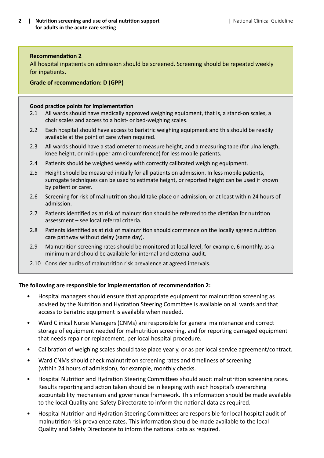# **Recommendation 2**

All hospital inpatients on admission should be screened. Screening should be repeated weekly for inpatients.

# **Grade of recommendation: D (GPP)**

# **Good practice points for implementation**

- 2.1 All wards should have medically approved weighing equipment, that is, a stand-on scales, a chair scales and access to a hoist- or bed-weighing scales.
- 2.2 Each hospital should have access to bariatric weighing equipment and this should be readily available at the point of care when required.
- 2.3 All wards should have a stadiometer to measure height, and a measuring tape (for ulna length, knee height, or mid-upper arm circumference) for less mobile patients.
- 2.4 Patients should be weighed weekly with correctly calibrated weighing equipment.
- 2.5 Height should be measured initially for all patients on admission. In less mobile patients, surrogate techniques can be used to estimate height, or reported height can be used if known by patient or carer.
- 2.6 Screening for risk of malnutrition should take place on admission, or at least within 24 hours of admission.
- 2.7 Patients identified as at risk of malnutrition should be referred to the dietitian for nutrition assessment – see local referral criteria.
- 2.8 Patients identified as at risk of malnutrition should commence on the locally agreed nutrition care pathway without delay (same day).
- 2.9 Malnutrition screening rates should be monitored at local level, for example, 6 monthly, as a minimum and should be available for internal and external audit.
- 2.10 Consider audits of malnutrition risk prevalence at agreed intervals.

# **The following are responsible for implementation of recommendation 2:**

- Hospital managers should ensure that appropriate equipment for malnutrition screening as advised by the Nutrition and Hydration Steering Committee is available on all wards and that access to bariatric equipment is available when needed.
- Ward Clinical Nurse Managers (CNMs) are responsible for general maintenance and correct storage of equipment needed for malnutrition screening, and for reporting damaged equipment that needs repair or replacement, per local hospital procedure.
- Calibration of weighing scales should take place yearly, or as per local service agreement/contract.
- Ward CNMs should check malnutrition screening rates and timeliness of screening (within 24 hours of admission), for example, monthly checks.
- Hospital Nutrition and Hydration Steering Committees should audit malnutrition screening rates. Results reporting and action taken should be in keeping with each hospital's overarching accountability mechanism and governance framework. This information should be made available to the local Quality and Safety Directorate to inform the national data as required.
- Hospital Nutrition and Hydration Steering Committees are responsible for local hospital audit of malnutrition risk prevalence rates. This information should be made available to the local Quality and Safety Directorate to inform the national data as required.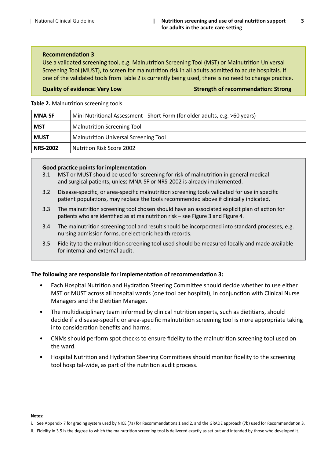# **Recommendation 3**

Use a validated screening tool, e.g. Malnutrition Screening Tool (MST) or Malnutrition Universal Screening Tool (MUST), to screen for malnutrition risk in all adults admitted to acute hospitals. If one of the validated tools from Table 2 is currently being used, there is no need to change practice.

**Quality of evidence: Very Low Strength of recommendation: Strong Cuality of evidence: Very Low** 

**Table 2.** Malnutrition screening tools

| <b>MNA-SF</b>   | Mini Nutritional Assessment - Short Form (for older adults, e.g. >60 years) |
|-----------------|-----------------------------------------------------------------------------|
| <b>MST</b>      | <b>Malnutrition Screening Tool</b>                                          |
| <b>MUST</b>     | <b>Malnutrition Universal Screening Tool</b>                                |
| <b>NRS-2002</b> | Nutrition Risk Score 2002                                                   |

# **Good practice points for implementation**

- 3.1 MST or MUST should be used for screening for risk of malnutrition in general medical and surgical patients, unless MNA-SF or NRS-2002 is already implemented.
- 3.2 Disease-specific, or area-specific malnutrition screening tools validated for use in specific patient populations, may replace the tools recommended above if clinically indicated.
- 3.3 The malnutrition screening tool chosen should have an associated explicit plan of action for patients who are identified as at malnutrition risk – see Figure 3 and Figure 4.
- 3.4 The malnutrition screening tool and result should be incorporated into standard processes, e.g. nursing admission forms, or electronic health records.
- 3.5 Fidelity to the malnutrition screening tool used should be measured locally and made available for internal and external audit.

# **The following are responsible for implementation of recommendation 3:**

- Each Hospital Nutrition and Hydration Steering Committee should decide whether to use either MST or MUST across all hospital wards (one tool per hospital), in conjunction with Clinical Nurse Managers and the Dietitian Manager.
- The multidisciplinary team informed by clinical nutrition experts, such as dietitians, should decide if a disease-specific or area-specific malnutrition screening tool is more appropriate taking into consideration benefits and harms.
- CNMs should perform spot checks to ensure fidelity to the malnutrition screening tool used on the ward.
- Hospital Nutrition and Hydration Steering Committees should monitor fidelity to the screening tool hospital-wide, as part of the nutrition audit process.

**Notes:**

- i. See Appendix 7 for grading system used by NICE (7a) for Recommendations 1 and 2, and the GRADE approach (7b) used for Recommendation 3.
- ii. Fidelity in 3.5 is the degree to which the malnutrition screening tool is delivered exactly as set out and intended by those who developed it.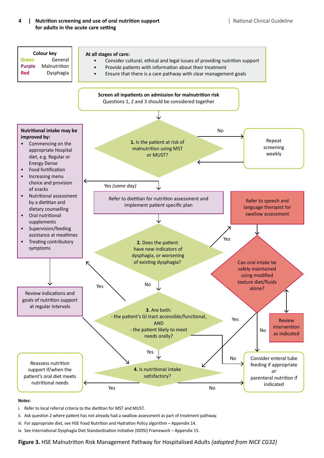

#### **Notes:**

- i. Refer to local referral criteria to the dietitian for MST and MUST.
- ii. Ask question 2 where patient has not already had a swallow assessment as part of treatment pathway.
- iii. For appropriate diet, see HSE Food Nutrition and Hydration Policy algorithm Appendix 14.
- iv. See International Dysphagia Diet Standardisation Initiative (IDDSI) Framework Appendix 15.

**Figure 3.** HSE Malnutrition Risk Management Pathway for Hospitalised Adults *(adapted from NICE CG32)*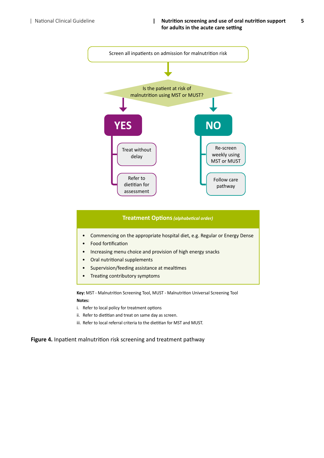

# **Treatment Options***(alphabetical order)*

- Commencing on the appropriate hospital diet, e.g. Regular or Energy Dense
- Food fortification
- Increasing menu choice and provision of high energy snacks
- Oral nutritional supplements
- Supervision/feeding assistance at mealtimes
- Treating contributory symptoms

**Key:** MST - Malnutrition Screening Tool, MUST - Malnutrition Universal Screening Tool **Notes:**

- i. Refer to local policy for treatment options
- ii. Refer to dietitian and treat on same day as screen.
- iii. Refer to local referral criteria to the dietitian for MST and MUST.

#### **Figure 4.** Inpatient malnutrition risk screening and treatment pathway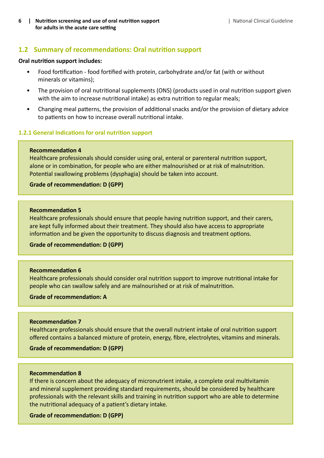# <span id="page-13-0"></span>**1.2 Summary of recommendations: Oral nutrition support**

# **Oral nutrition support includes:**

- Food fortification food fortified with protein, carbohydrate and/or fat (with or without minerals or vitamins);
- The provision of oral nutritional supplements (ONS) (products used in oral nutrition support given with the aim to increase nutritional intake) as extra nutrition to regular meals;
- Changing meal patterns, the provision of additional snacks and/or the provision of dietary advice to patients on how to increase overall nutritional intake.

# **1.2.1 General Indications for oral nutrition support**

# **Recommendation 4**

Healthcare professionals should consider using oral, enteral or parenteral nutrition support, alone or in combination, for people who are either malnourished or at risk of malnutrition. Potential swallowing problems (dysphagia) should be taken into account.

# **Grade of recommendation: D (GPP)**

### **Recommendation 5**

Healthcare professionals should ensure that people having nutrition support, and their carers, are kept fully informed about their treatment. They should also have access to appropriate information and be given the opportunity to discuss diagnosis and treatment options.

### **Grade of recommendation: D (GPP)**

### **Recommendation 6**

Healthcare professionals should consider oral nutrition support to improve nutritional intake for people who can swallow safely and are malnourished or at risk of malnutrition.

# **Grade of recommendation: A**

### **Recommendation 7**

Healthcare professionals should ensure that the overall nutrient intake of oral nutrition support offered contains a balanced mixture of protein, energy, fibre, electrolytes, vitamins and minerals.

# **Grade of recommendation: D (GPP)**

# **Recommendation 8**

If there is concern about the adequacy of micronutrient intake, a complete oral multivitamin and mineral supplement providing standard requirements, should be considered by healthcare professionals with the relevant skills and training in nutrition support who are able to determine the nutritional adequacy of a patient's dietary intake.

**Grade of recommendation: D (GPP)**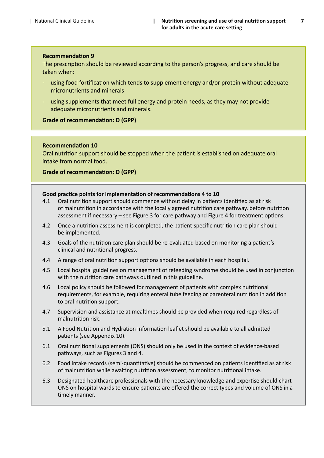# **Recommendation 9**

The prescription should be reviewed according to the person's progress, and care should be taken when:

- using food fortification which tends to supplement energy and/or protein without adequate micronutrients and minerals
- using supplements that meet full energy and protein needs, as they may not provide adequate micronutrients and minerals.

**Grade of recommendation: D (GPP)**

# **Recommendation 10**

Oral nutrition support should be stopped when the patient is established on adequate oral intake from normal food.

**Grade of recommendation: D (GPP)**

# **Good practice points for implementation of recommendations 4 to 10**

- 4.1 Oral nutrition support should commence without delay in patients identified as at risk of malnutrition in accordance with the locally agreed nutrition care pathway, before nutrition assessment if necessary – see Figure 3 for care pathway and Figure 4 for treatment options.
- 4.2 Once a nutrition assessment is completed, the patient-specific nutrition care plan should be implemented.
- 4.3 Goals of the nutrition care plan should be re-evaluated based on monitoring a patient's clinical and nutritional progress.
- 4.4 A range of oral nutrition support options should be available in each hospital.
- 4.5 Local hospital guidelines on management of refeeding syndrome should be used in conjunction with the nutrition care pathways outlined in this guideline.
- 4.6 Local policy should be followed for management of patients with complex nutritional requirements, for example, requiring enteral tube feeding or parenteral nutrition in addition to oral nutrition support.
- 4.7 Supervision and assistance at mealtimes should be provided when required regardless of malnutrition risk.
- 5.1 A Food Nutrition and Hydration Information leaflet should be available to all admitted patients (see Appendix 10).
- 6.1 Oral nutritional supplements (ONS) should only be used in the context of evidence-based pathways, such as Figures 3 and 4.
- 6.2 Food intake records (semi-quantitative) should be commenced on patients identified as at risk of malnutrition while awaiting nutrition assessment, to monitor nutritional intake.
- 6.3 Designated healthcare professionals with the necessary knowledge and expertise should chart ONS on hospital wards to ensure patients are offered the correct types and volume of ONS in a timely manner.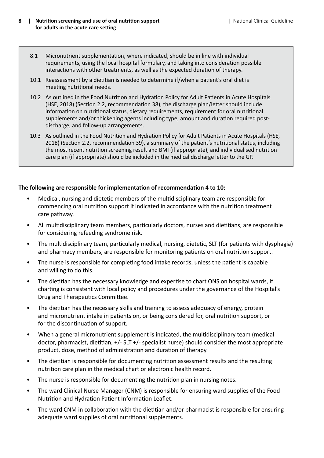- <span id="page-15-0"></span>8.1 Micronutrient supplementation, where indicated, should be in line with individual requirements, using the local hospital formulary, and taking into consideration possible interactions with other treatments, as well as the expected duration of therapy.
- 10.1 Reassessment by a dietitian is needed to determine if/when a patient's oral diet is meeting nutritional needs.
- 10.2 As outlined in the Food Nutrition and Hydration Policy for Adult Patients in Acute Hospitals (HSE, 2018) (Section 2.2, recommendation 38), the discharge plan/letter should include information on nutritional status, dietary requirements, requirement for oral nutritional supplements and/or thickening agents including type, amount and duration required postdischarge, and follow-up arrangements.
- 10.3 As outlined in the Food Nutrition and Hydration Policy for Adult Patients in Acute Hospitals (HSE, 2018) (Section 2.2, recommendation 39), a summary of the patient's nutritional status, including the most recent nutrition screening result and BMI (if appropriate), and individualised nutrition care plan (if appropriate) should be included in the medical discharge letter to the GP.

# **The following are responsible for implementation of recommendation 4 to 10:**

- Medical, nursing and dietetic members of the multidisciplinary team are responsible for commencing oral nutrition support if indicated in accordance with the nutrition treatment care pathway.
- All multidisciplinary team members, particularly doctors, nurses and dietitians, are responsible for considering refeeding syndrome risk.
- The multidisciplinary team, particularly medical, nursing, dietetic, SLT (for patients with dysphagia) and pharmacy members, are responsible for monitoring patients on oral nutrition support.
- The nurse is responsible for completing food intake records, unless the patient is capable and willing to do this.
- The dietitian has the necessary knowledge and expertise to chart ONS on hospital wards, if charting is consistent with local policy and procedures under the governance of the Hospital's Drug and Therapeutics Committee.
- The dietitian has the necessary skills and training to assess adequacy of energy, protein and micronutrient intake in patients on, or being considered for, oral nutrition support, or for the discontinuation of support.
- When a general micronutrient supplement is indicated, the multidisciplinary team (medical doctor, pharmacist, dietitian, +/- SLT +/- specialist nurse) should consider the most appropriate product, dose, method of administration and duration of therapy.
- The dietitian is responsible for documenting nutrition assessment results and the resulting nutrition care plan in the medical chart or electronic health record.
- The nurse is responsible for documenting the nutrition plan in nursing notes.
- The ward Clinical Nurse Manager (CNM) is responsible for ensuring ward supplies of the Food Nutrition and Hydration Patient Information Leaflet.
- The ward CNM in collaboration with the dietitian and/or pharmacist is responsible for ensuring adequate ward supplies of oral nutritional supplements.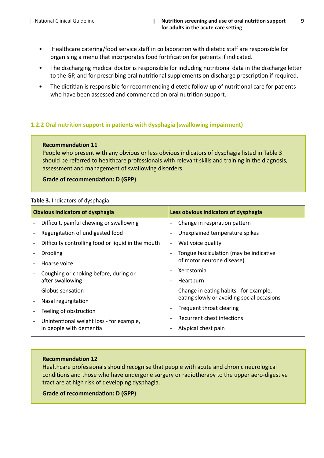- Healthcare catering/food service staff in collaboration with dietetic staff are responsible for organising a menu that incorporates food fortification for patients if indicated.
- The discharging medical doctor is responsible for including nutritional data in the discharge letter to the GP, and for prescribing oral nutritional supplements on discharge prescription if required.
- The dietitian is responsible for recommending dietetic follow-up of nutritional care for patients who have been assessed and commenced on oral nutrition support.

# **1.2.2 Oral nutrition support in patients with dysphagia (swallowing impairment)**

# **Recommendation 11**

People who present with any obvious or less obvious indicators of dysphagia listed in Table 3 should be referred to healthcare professionals with relevant skills and training in the diagnosis, assessment and management of swallowing disorders.

# **Grade of recommendation: D (GPP)**

# **Table 3.** Indicators of dysphagia

| <b>Obvious indicators of dysphagia</b>             | Less obvious indicators of dysphagia                       |
|----------------------------------------------------|------------------------------------------------------------|
| Difficult, painful chewing or swallowing           | Change in respiration pattern<br>$\overline{a}$            |
| Regurgitation of undigested food                   | Unexplained temperature spikes<br>$\overline{\phantom{0}}$ |
| Difficulty controlling food or liquid in the mouth | Wet voice quality<br>$\overline{\phantom{a}}$              |
| <b>Drooling</b>                                    | Tongue fasciculation (may be indicative                    |
| Hoarse voice                                       | of motor neurone disease)                                  |
| Coughing or choking before, during or              | Xerostomia<br>$\overline{\phantom{a}}$                     |
| after swallowing                                   | Heartburn<br>$\overline{\phantom{a}}$                      |
| Globus sensation                                   | Change in eating habits - for example,<br>$\overline{a}$   |
| Nasal regurgitation                                | eating slowly or avoiding social occasions                 |
| Feeling of obstruction                             | Frequent throat clearing<br>$\overline{\phantom{a}}$       |
| Unintentional weight loss - for example,           | Recurrent chest infections<br>$\overline{\phantom{a}}$     |
| in people with dementia                            | Atypical chest pain                                        |

# **Recommendation 12**

Healthcare professionals should recognise that people with acute and chronic neurological conditions and those who have undergone surgery or radiotherapy to the upper aero-digestive tract are at high risk of developing dysphagia.

# **Grade of recommendation: D (GPP)**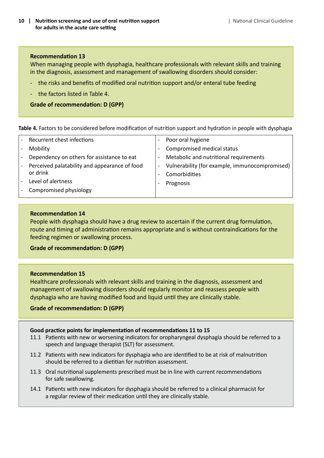# **Recommendation 13**

When managing people with dysphagia, healthcare professionals with relevant skills and training in the diagnosis, assessment and management of swallowing disorders should consider:

- the risks and benefits of modified oral nutrition support and/or enteral tube feeding
- the factors listed in Table 4.

**Grade of recommendation: D (GPP)**

**Table 4.** Factors to be considered before modification of nutrition support and hydration in people with dysphagia

| Recurrent chest infections                                                                                | Poor oral hygiene                                                            |
|-----------------------------------------------------------------------------------------------------------|------------------------------------------------------------------------------|
| Mobility                                                                                                  | Compromised medical status                                                   |
| Dependency on others for assistance to eat                                                                | Metabolic and nutritional requirements                                       |
| Perceived palatability and appearance of food<br>or drink<br>Level of alertness<br>Compromised physiology | Vulnerability (for example, immunocompromised)<br>Comorbidities<br>Prognosis |

# **Recommendation 14**

People with dysphagia should have a drug review to ascertain if the current drug formulation, route and timing of administration remains appropriate and is without contraindications for the feeding regimen or swallowing process.

# **Grade of recommendation: D (GPP)**

# **Recommendation 15**

Healthcare professionals with relevant skills and training in the diagnosis, assessment and management of swallowing disorders should regularly monitor and reassess people with dysphagia who are having modified food and liquid until they are clinically stable.

# **Grade of recommendation: D (GPP)**

# **Good practice points for implementation of recommendations 11 to 15**

- 11.1 Patients with new or worsening indicators for oropharyngeal dysphagia should be referred to a speech and language therapist (SLT) for assessment.
- 11.2 Patients with new indicators for dysphagia who are identified to be at risk of malnutrition should be referred to a dietitian for nutrition assessment.
- 11.3 Oral nutritional supplements prescribed must be in line with current recommendations for safe swallowing.
- 14.1 Patients with new indicators for dysphagia should be referred to a clinical pharmacist for a regular review of their medication until they are clinically stable.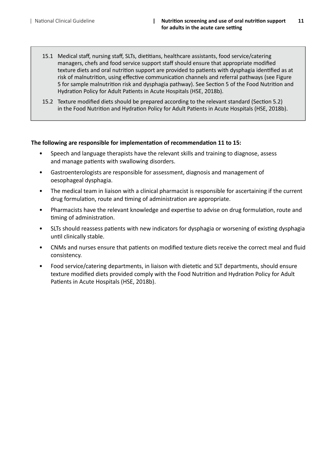- 15.1 Medical staff, nursing staff, SLTs, dietitians, healthcare assistants, food service/catering managers, chefs and food service support staff should ensure that appropriate modified texture diets and oral nutrition support are provided to patients with dysphagia identified as at risk of malnutrition, using effective communication channels and referral pathways (see Figure 5 for sample malnutrition risk and dysphagia pathway). See Section 5 of the Food Nutrition and Hydration Policy for Adult Patients in Acute Hospitals (HSE, 2018b).
- 15.2 Texture modified diets should be prepared according to the relevant standard (Section 5.2) in the Food Nutrition and Hydration Policy for Adult Patients in Acute Hospitals (HSE, 2018b).

# **The following are responsible for implementation of recommendation 11 to 15:**

- Speech and language therapists have the relevant skills and training to diagnose, assess and manage patients with swallowing disorders.
- Gastroenterologists are responsible for assessment, diagnosis and management of oesophageal dysphagia.
- The medical team in liaison with a clinical pharmacist is responsible for ascertaining if the current drug formulation, route and timing of administration are appropriate.
- Pharmacists have the relevant knowledge and expertise to advise on drug formulation, route and timing of administration.
- SLTs should reassess patients with new indicators for dysphagia or worsening of existing dysphagia until clinically stable.
- CNMs and nurses ensure that patients on modified texture diets receive the correct meal and fluid consistency.
- Food service/catering departments, in liaison with dietetic and SLT departments, should ensure texture modified diets provided comply with the Food Nutrition and Hydration Policy for Adult Patients in Acute Hospitals (HSE, 2018b).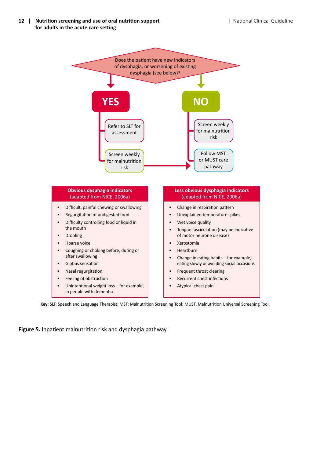| National Clinical Guideline

# **12 | Nutrition screening and use of oral nutrition support for adults in the acute care setting**



**Key:** SLT: Speech and Language Therapist; MST: Malnutrition Screening Tool; MUST: Malnutrition Universal Screening Tool.

**Figure 5.** Inpatient malnutrition risk and dysphagia pathway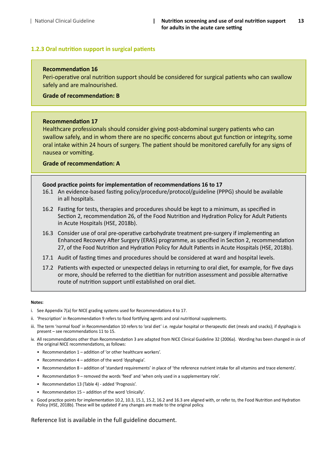# <span id="page-20-0"></span>**1.2.3 Oral nutrition support in surgical patients**

## **Recommendation 16**

Peri-operative oral nutrition support should be considered for surgical patients who can swallow safely and are malnourished.

## **Grade of recommendation: B**

# **Recommendation 17**

Healthcare professionals should consider giving post-abdominal surgery patients who can swallow safely, and in whom there are no specific concerns about gut function or integrity, some oral intake within 24 hours of surgery. The patient should be monitored carefully for any signs of nausea or vomiting.

# **Grade of recommendation: A**

# **Good practice points for implementation of recommendations 16 to 17**

- 16.1 An evidence-based fasting policy/procedure/protocol/guideline (PPPG) should be available in all hospitals.
- 16.2 Fasting for tests, therapies and procedures should be kept to a minimum, as specified in Section 2, recommendation 26, of the Food Nutrition and Hydration Policy for Adult Patients in Acute Hospitals (HSE, 2018b).
- 16.3 Consider use of oral pre-operative carbohydrate treatment pre-surgery if implementing an Enhanced Recovery After Surgery (ERAS) programme, as specified in Section 2, recommendation 27, of the Food Nutrition and Hydration Policy for Adult Patients in Acute Hospitals (HSE, 2018b).
- 17.1 Audit of fasting times and procedures should be considered at ward and hospital levels.
- 17.2 Patients with expected or unexpected delays in returning to oral diet, for example, for five days or more, should be referred to the dietitian for nutrition assessment and possible alternative route of nutrition support until established on oral diet.

#### **Notes:**

- i. See Appendix 7(a) for NICE grading systems used for Recommendations 4 to 17.
- ii. 'Prescription' in Recommendation 9 refers to food fortifying agents and oral nutritional supplements.
- iii. The term 'normal food' in Recommendation 10 refers to 'oral diet' i.e. regular hospital or therapeutic diet (meals and snacks); if dysphagia is present – see recommendations 11 to 15.
- iv. All recommendations other than Recommendation 3 are adapted from NICE Clinical Guideline 32 (2006a). Wording has been changed in six of the original NICE recommendations, as follows:
	- Recommendation 1 addition of 'or other healthcare workers'.
	- Recommendation 4 addition of the word 'dysphagia'.
	- Recommendation 8 addition of 'standard requirements' in place of 'the reference nutrient intake for all vitamins and trace elements'.
	- Recommendation 9 removed the words 'feed' and 'when only used in a supplementary role'.
	- Recommendation 13 (Table 4) added 'Prognosis'.
	- Recommendation 15 addition of the word 'clinically'.
- v. Good practice points for implementation 10.2, 10.3, 15.1, 15.2, 16.2 and 16.3 are aligned with, or refer to, the Food Nutrition and Hydration Policy (HSE, 2018b). These will be updated if any changes are made to the original policy.

Reference list is available in the full guideline document.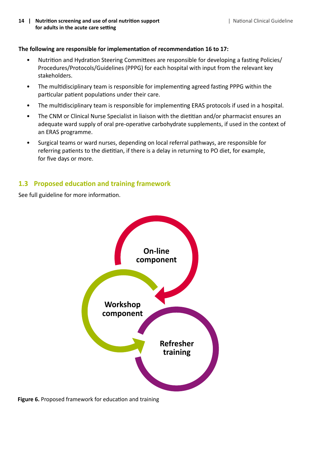# <span id="page-21-0"></span>**The following are responsible for implementation of recommendation 16 to 17:**

- Nutrition and Hydration Steering Committees are responsible for developing a fasting Policies/ Procedures/Protocols/Guidelines (PPPG) for each hospital with input from the relevant key stakeholders.
- The multidisciplinary team is responsible for implementing agreed fasting PPPG within the particular patient populations under their care.
- The multidisciplinary team is responsible for implementing ERAS protocols if used in a hospital.
- The CNM or Clinical Nurse Specialist in liaison with the dietitian and/or pharmacist ensures an adequate ward supply of oral pre-operative carbohydrate supplements, if used in the context of an ERAS programme.
- Surgical teams or ward nurses, depending on local referral pathways, are responsible for referring patients to the dietitian, if there is a delay in returning to PO diet, for example, for five days or more.

# **1.3 Proposed education and training framework**

See full guideline for more information.



**Figure 6.** Proposed framework for education and training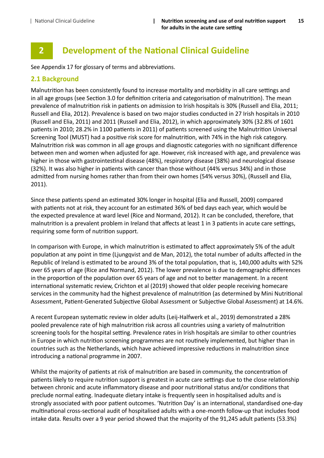# <span id="page-22-0"></span>**2 Development of the National Clinical Guideline**

See Appendix 17 for glossary of terms and abbreviations.

# **2.1 Background**

Malnutrition has been consistently found to increase mortality and morbidity in all care settings and in all age groups (see Section 3.0 for definition criteria and categorisation of malnutrition). The mean prevalence of malnutrition risk in patients on admission to Irish hospitals is 30% (Russell and Elia, 2011; Russell and Elia, 2012). Prevalence is based on two major studies conducted in 27 Irish hospitals in 2010 (Russell and Elia, 2011) and 2011 (Russell and Elia, 2012), in which approximately 30% (32.8% of 1601 patients in 2010; 28.2% in 1100 patients in 2011) of patients screened using the Malnutrition Universal Screening Tool (MUST) had a positive risk score for malnutrition, with 74% in the high risk category. Malnutrition risk was common in all age groups and diagnostic categories with no significant difference between men and women when adjusted for age. However, risk increased with age, and prevalence was higher in those with gastrointestinal disease (48%), respiratory disease (38%) and neurological disease (32%). It was also higher in patients with cancer than those without (44% versus 34%) and in those admitted from nursing homes rather than from their own homes (54% versus 30%), (Russell and Elia, 2011).

Since these patients spend an estimated 30% longer in hospital (Elia and Russell, 2009) compared with patients not at risk, they account for an estimated 36% of bed days each year, which would be the expected prevalence at ward level (Rice and Normand, 2012). It can be concluded, therefore, that malnutrition is a prevalent problem in Ireland that affects at least 1 in 3 patients in acute care settings, requiring some form of nutrition support.

In comparison with Europe, in which malnutrition is estimated to affect approximately 5% of the adult population at any point in time (Ljungqvist and de Man, 2012), the total number of adults affected in the Republic of Ireland is estimated to be around 3% of the total population, that is, 140,000 adults with 52% over 65 years of age (Rice and Normand, 2012). The lower prevalence is due to demographic differences in the proportion of the population over 65 years of age and not to better management. In a recent international systematic review, Crichton et al (2019) showed that older people receiving homecare services in the community had the highest prevalence of malnutrition (as determined by Mini Nutritional Assessment, Patient-Generated Subjective Global Assessment or Subjective Global Assessment) at 14.6%.

A recent European systematic review in older adults (Leij-Halfwerk et al., 2019) demonstrated a 28% pooled prevalence rate of high malnutrition risk across all countries using a variety of malnutrition screening tools for the hospital setting. Prevalence rates in Irish hospitals are similar to other countries in Europe in which nutrition screening programmes are not routinely implemented, but higher than in countries such as the Netherlands, which have achieved impressive reductions in malnutrition since introducing a national programme in 2007.

Whilst the majority of patients at risk of malnutrition are based in community, the concentration of patients likely to require nutrition support is greatest in acute care settings due to the close relationship between chronic and acute inflammatory disease and poor nutritional status and/or conditions that preclude normal eating. Inadequate dietary intake is frequently seen in hospitalised adults and is strongly associated with poor patient outcomes. 'Nutrition Day' is an international, standardised one-day multinational cross-sectional audit of hospitalised adults with a one-month follow-up that includes food intake data. Results over a 9 year period showed that the majority of the 91,245 adult patients (53.3%)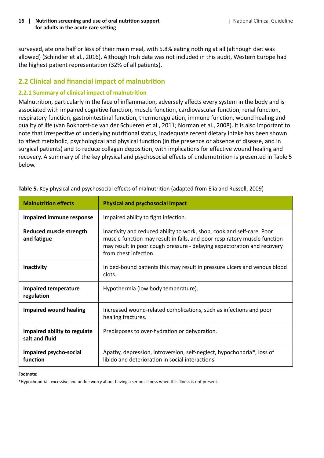# <span id="page-23-0"></span>**16 | Nutrition screening and use of oral nutrition support for adults in the acute care setting**

surveyed, ate one half or less of their main meal, with 5.8% eating nothing at all (although diet was allowed) (Schindler et al., 2016). Although Irish data was not included in this audit, Western Europe had the highest patient representation (32% of all patients).

# **2.2 Clinical and financial impact of malnutrition**

# **2.2.1 Summary of clinical impact of malnutrition**

Malnutrition, particularly in the face of inflammation, adversely affects every system in the body and is associated with impaired cognitive function, muscle function, cardiovascular function, renal function, respiratory function, gastrointestinal function, thermoregulation, immune function, wound healing and quality of life (van Bokhorst-de van der Schueren et al., 2011; Norman et al., 2008). It is also important to note that irrespective of underlying nutritional status, inadequate recent dietary intake has been shown to affect metabolic, psychological and physical function (in the presence or absence of disease, and in surgical patients) and to reduce collagen deposition, with implications for effective wound healing and recovery. A summary of the key physical and psychosocial effects of undernutrition is presented in Table 5 below.

| <b>Malnutrition effects</b>                    | <b>Physical and psychosocial impact</b>                                                                                                                                                                                                                 |
|------------------------------------------------|---------------------------------------------------------------------------------------------------------------------------------------------------------------------------------------------------------------------------------------------------------|
| <b>Impaired immune response</b>                | Impaired ability to fight infection.                                                                                                                                                                                                                    |
| <b>Reduced muscle strength</b><br>and fatigue  | Inactivity and reduced ability to work, shop, cook and self-care. Poor<br>muscle function may result in falls, and poor respiratory muscle function<br>may result in poor cough pressure - delaying expectoration and recovery<br>from chest infection. |
| <b>Inactivity</b>                              | In bed-bound patients this may result in pressure ulcers and venous blood<br>clots.                                                                                                                                                                     |
| <b>Impaired temperature</b><br>regulation      | Hypothermia (low body temperature).                                                                                                                                                                                                                     |
| <b>Impaired wound healing</b>                  | Increased wound-related complications, such as infections and poor<br>healing fractures.                                                                                                                                                                |
| Impaired ability to regulate<br>salt and fluid | Predisposes to over-hydration or dehydration.                                                                                                                                                                                                           |
| Impaired psycho-social<br>function             | Apathy, depression, introversion, self-neglect, hypochondria*, loss of<br>libido and deterioration in social interactions.                                                                                                                              |

**Table 5.** Key physical and psychosocial effects of malnutrition (adapted from Elia and Russell, 2009)

### **Footnote:**

\*Hypochondria - excessive and undue worry about having a serious illness when this illness is not present.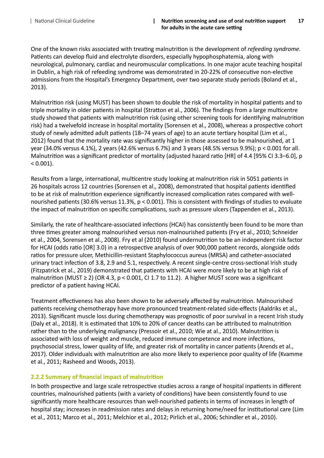<span id="page-24-0"></span>One of the known risks associated with treating malnutrition is the development of *refeeding syndrome.* Patients can develop fluid and electrolyte disorders, especially hypophosphatemia, along with neurological, pulmonary, cardiac and neuromuscular complications. In one major acute teaching hospital in Dublin, a high risk of refeeding syndrome was demonstrated in 20-22% of consecutive non-elective admissions from the Hospital's Emergency Department, over two separate study periods (Boland et al., 2013).

Malnutrition risk (using MUST) has been shown to double the risk of mortality in hospital patients and to triple mortality in older patients in hospital (Stratton et al., 2006). The findings from a large multicentre study showed that patients with malnutrition risk (using other screening tools for identifying malnutrition risk) had a twelvefold increase in hospital mortality (Sorensen et al., 2008), whereas a prospective cohort study of newly admitted adult patients (18–74 years of age) to an acute tertiary hospital (Lim et al., 2012) found that the mortality rate was significantly higher in those assessed to be malnourished, at 1 year (34.0% versus 4.1%), 2 years (42.6% versus 6.7%) and 3 years (48.5% versus 9.9%); p < 0.001 for all. Malnutrition was a significant predictor of mortality (adjusted hazard ratio [HR] of 4.4 [95% CI 3.3–6.0], p  $< 0.001$ ).

Results from a large, international, multicentre study looking at malnutrition risk in 5051 patients in 26 hospitals across 12 countries (Sorensen et al., 2008), demonstrated that hospital patients identified to be at risk of malnutrition experience significantly increased complication rates compared with wellnourished patients (30.6% versus 11.3%, p < 0.001). This is consistent with findings of studies to evaluate the impact of malnutrition on specific complications, such as pressure ulcers (Tappenden et al., 2013).

Similarly, the rate of healthcare-associated infections (HCAI) has consistently been found to be more than three times greater among malnourished versus non-malnourished patients (Fry et al., 2010; Schneider et al., 2004, Sorensen et al., 2008). Fry et al (2010) found undernutrition to be an independent risk factor for HCAI (odds ratio [OR] 3.0) in a retrospective analysis of over 900,000 patient records, alongside odds ratios for pressure ulcer, Methicillin-resistant Staphylococcus aureus (MRSA) and catheter-associated urinary tract infection of 3.8, 2.9 and 5.1, respectively. A recent single-centre cross-sectional Irish study (Fitzpatrick et al., 2019) demonstrated that patients with HCAI were more likely to be at high risk of malnutrition (MUST  $\geq$  2) (OR 4.3, p < 0.001, CI 1.7 to 11.2). A higher MUST score was a significant predictor of a patient having HCAI.

Treatment effectiveness has also been shown to be adversely affected by malnutrition. Malnourished patients receiving chemotherapy have more pronounced treatment-related side-effects (Aaldriks et al., 2013). Significant muscle loss during chemotherapy was prognostic of poor survival in a recent Irish study (Daly et al., 2018). It is estimated that 10% to 20% of cancer deaths can be attributed to malnutrition rather than to the underlying malignancy (Pressoir et al., 2010; Wie at al., 2010). Malnutrition is associated with loss of weight and muscle, reduced immune competence and more infections, psychosocial stress, lower quality of life, and greater risk of mortality in cancer patients (Arends et al., 2017). Older individuals with malnutrition are also more likely to experience poor quality of life (Kvamme et al., 2011; Rasheed and Woods, 2013).

# **2.2.2 Summary of financial impact of malnutrition**

In both prospective and large scale retrospective studies across a range of hospital inpatients in different countries, malnourished patients (with a variety of conditions) have been consistently found to use significantly more healthcare resources than well-nourished patients in terms of increases in length of hospital stay; increases in readmission rates and delays in returning home/need for institutional care (Lim et al., 2011; Marco et al., 2011; Melchior et al., 2012; Pirlich et al., 2006; Schindler et al., 2010).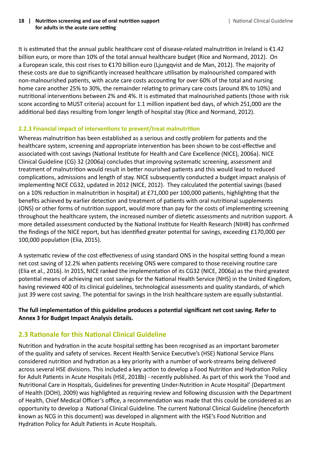# <span id="page-25-0"></span>**18 | Nutrition screening and use of oral nutrition support for adults in the acute care setting**

It is estimated that the annual public healthcare cost of disease-related malnutrition in Ireland is €1.42 billion euro, or more than 10% of the total annual healthcare budget (Rice and Normand, 2012). On a European scale, this cost rises to €170 billion euro (Ljungqvist and de Man, 2012). The majority of these costs are due to significantly increased healthcare utilisation by malnourished compared with non-malnourished patients, with acute care costs accounting for over 60% of the total and nursing home care another 25% to 30%, the remainder relating to primary care costs (around 8% to 10%) and nutritional interventions between 2% and 4%. It is estimated that malnourished patients (those with risk score according to MUST criteria) account for 1.1 million inpatient bed days, of which 251,000 are the additional bed days resulting from longer length of hospital stay (Rice and Normand, 2012).

# **2.2.3 Financial impact of interventions to prevent/treat malnutrition**

Whereas malnutrition has been established as a serious and costly problem for patients and the healthcare system, screening and appropriate intervention has been shown to be cost-effective and associated with cost savings (National Institute for Health and Care Excellence (NICE), 2006a). NICE Clinical Guideline (CG) 32 (2006a) concludes that improving systematic screening, assessment and treatment of malnutrition would result in better nourished patients and this would lead to reduced complications, admissions and length of stay. NICE subsequently conducted a budget impact analysis of implementing NICE CG32, updated in 2012 (NICE, 2012). They calculated the potential savings (based on a 10% reduction in malnutrition in hospital) at £71,000 per 100,000 patients, highlighting that the benefits achieved by earlier detection and treatment of patients with oral nutritional supplements (ONS) or other forms of nutrition support, would more than pay for the costs of implementing screening throughout the healthcare system, the increased number of dietetic assessments and nutrition support. A more detailed assessment conducted by the National Institute for Health Research (NIHR) has confirmed the findings of the NICE report, but has identified greater potential for savings, exceeding £170,000 per 100,000 population (Elia, 2015).

A systematic review of the cost effectiveness of using standard ONS in the hospital setting found a mean net cost saving of 12.2% when patients receiving ONS were compared to those receiving routine care (Elia et al., 2016). In 2015, NICE ranked the implementation of its CG32 (NICE, 2006a) as the third greatest potential means of achieving net cost savings for the National Health Service (NHS) in the United Kingdom, having reviewed 400 of its clinical guidelines, technological assessments and quality standards, of which just 39 were cost saving. The potential for savings in the Irish healthcare system are equally substantial.

# **The full implementation of this guideline produces a potential significant net cost saving. Refer to Annex 3 for Budget Impact Analysis details.**

# **2.3 Rationale for this National Clinical Guideline**

Nutrition and hydration in the acute hospital setting has been recognised as an important barometer of the quality and safety of services. Recent Health Service Executive's (HSE) National Service Plans considered nutrition and hydration as a key priority with a number of work-streams being delivered across several HSE divisions. This included a key action to develop a Food Nutrition and Hydration Policy for Adult Patients in Acute Hospitals (HSE, 2018b) - recently published. As part of this work the 'Food and Nutritional Care in Hospitals, Guidelines for preventing Under-Nutrition in Acute Hospital' (Department of Health (DOH), 2009) was highlighted as requiring review and following discussion with the Department of Health, Chief Medical Officer's office, a recommendation was made that this could be considered as an opportunity to develop a National Clinical Guideline. The current National Clinical Guideline (henceforth known as NCG in this document) was developed in alignment with the HSE's Food Nutrition and Hydration Policy for Adult Patients in Acute Hospitals.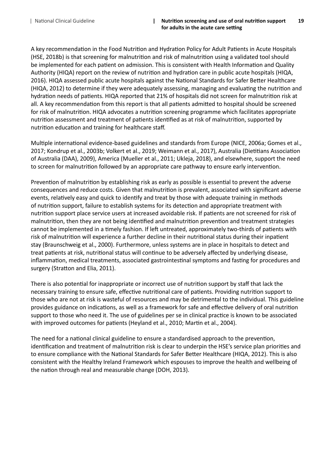A key recommendation in the Food Nutrition and Hydration Policy for Adult Patients in Acute Hospitals (HSE, 2018b) is that screening for malnutrition and risk of malnutrition using a validated tool should be implemented for each patient on admission. This is consistent with Health Information and Quality Authority (HIQA) report on the review of nutrition and hydration care in public acute hospitals (HIQA, 2016). HIQA assessed public acute hospitals against the National Standards for Safer Better Healthcare (HIQA, 2012) to determine if they were adequately assessing, managing and evaluating the nutrition and hydration needs of patients. HIQA reported that 21% of hospitals did not screen for malnutrition risk at all. A key recommendation from this report is that all patients admitted to hospital should be screened for risk of malnutrition. HIQA advocates a nutrition screening programme which facilitates appropriate nutrition assessment and treatment of patients identified as at risk of malnutrition, supported by nutrition education and training for healthcare staff.

Multiple international evidence-based guidelines and standards from Europe (NICE, 2006a; Gomes et al., 2017; Kondrup et al., 2003b; Volkert et al., 2019; Weimann et al., 2017), Australia (Dietitians Association of Australia (DAA), 2009), America (Mueller et al., 2011; Ukleja, 2018), and elsewhere, support the need to screen for malnutrition followed by an appropriate care pathway to ensure early intervention.

Prevention of malnutrition by establishing risk as early as possible is essential to prevent the adverse consequences and reduce costs. Given that malnutrition is prevalent, associated with significant adverse events, relatively easy and quick to identify and treat by those with adequate training in methods of nutrition support, failure to establish systems for its detection and appropriate treatment with nutrition support place service users at increased avoidable risk. If patients are not screened for risk of malnutrition, then they are not being identified and malnutrition prevention and treatment strategies cannot be implemented in a timely fashion. If left untreated, approximately two-thirds of patients with risk of malnutrition will experience a further decline in their nutritional status during their inpatient stay (Braunschweig et al., 2000). Furthermore, unless systems are in place in hospitals to detect and treat patients at risk, nutritional status will continue to be adversely affected by underlying disease, inflammation, medical treatments, associated gastrointestinal symptoms and fasting for procedures and surgery (Stratton and Elia, 2011).

There is also potential for inappropriate or incorrect use of nutrition support by staff that lack the necessary training to ensure safe, effective nutritional care of patients. Providing nutrition support to those who are not at risk is wasteful of resources and may be detrimental to the individual. This guideline provides guidance on indications, as well as a framework for safe and effective delivery of oral nutrition support to those who need it. The use of guidelines per se in clinical practice is known to be associated with improved outcomes for patients (Heyland et al., 2010; Martin et al., 2004).

The need for a national clinical guideline to ensure a standardised approach to the prevention, identification and treatment of malnutrition risk is clear to underpin the HSE's service plan priorities and to ensure compliance with the National Standards for Safer Better Healthcare (HIQA, 2012). This is also consistent with the Healthy Ireland Framework which espouses to improve the health and wellbeing of the nation through real and measurable change (DOH, 2013).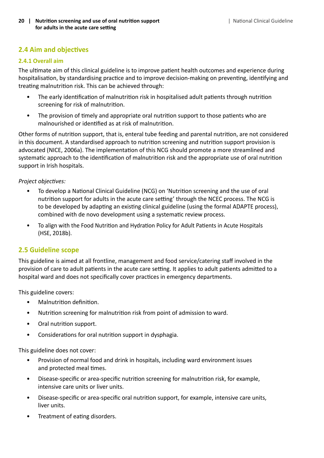# <span id="page-27-0"></span>**2.4 Aim and objectives**

# **2.4.1 Overall aim**

The ultimate aim of this clinical guideline is to improve patient health outcomes and experience during hospitalisation, by standardising practice and to improve decision-making on preventing, identifying and treating malnutrition risk. This can be achieved through:

- The early identification of malnutrition risk in hospitalised adult patients through nutrition screening for risk of malnutrition.
- The provision of timely and appropriate oral nutrition support to those patients who are malnourished or identified as at risk of malnutrition.

Other forms of nutrition support, that is, enteral tube feeding and parental nutrition, are not considered in this document. A standardised approach to nutrition screening and nutrition support provision is advocated (NICE, 2006a). The implementation of this NCG should promote a more streamlined and systematic approach to the identification of malnutrition risk and the appropriate use of oral nutrition support in Irish hospitals.

# *Project objectives:*

- To develop a National Clinical Guideline (NCG) on 'Nutrition screening and the use of oral nutrition support for adults in the acute care setting' through the NCEC process. The NCG is to be developed by adapting an existing clinical guideline (using the formal ADAPTE process), combined with de novo development using a systematic review process.
- To align with the Food Nutrition and Hydration Policy for Adult Patients in Acute Hospitals (HSE, 2018b).

# **2.5 Guideline scope**

This guideline is aimed at all frontline, management and food service/catering staff involved in the provision of care to adult patients in the acute care setting. It applies to adult patients admitted to a hospital ward and does not specifically cover practices in emergency departments.

This guideline covers:

- Malnutrition definition.
- Nutrition screening for malnutrition risk from point of admission to ward.
- Oral nutrition support.
- Considerations for oral nutrition support in dysphagia.

This guideline does not cover:

- Provision of normal food and drink in hospitals, including ward environment issues and protected meal times.
- Disease-specific or area-specific nutrition screening for malnutrition risk, for example, intensive care units or liver units.
- Disease-specific or area-specific oral nutrition support, for example, intensive care units, liver units.
- Treatment of eating disorders.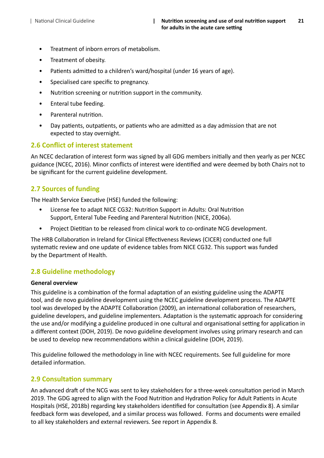- <span id="page-28-0"></span>• Treatment of inborn errors of metabolism.
- Treatment of obesity.
- Patients admitted to a children's ward/hospital (under 16 years of age).
- Specialised care specific to pregnancy.
- Nutrition screening or nutrition support in the community.
- Enteral tube feeding.
- Parenteral nutrition.
- Day patients, outpatients, or patients who are admitted as a day admission that are not expected to stay overnight.

# **2.6 Conflict of interest statement**

An NCEC declaration of interest form was signed by all GDG members initially and then yearly as per NCEC guidance (NCEC, 2016). Minor conflicts of interest were identified and were deemed by both Chairs not to be significant for the current guideline development.

# **2.7 Sources of funding**

The Health Service Executive (HSE) funded the following:

- License fee to adapt NICE CG32: Nutrition Support in Adults: Oral Nutrition Support, Enteral Tube Feeding and Parenteral Nutrition (NICE, 2006a).
- Project Dietitian to be released from clinical work to co-ordinate NCG development.

The HRB Collaboration in Ireland for Clinical Effectiveness Reviews (CICER) conducted one full systematic review and one update of evidence tables from NICE CG32. This support was funded by the Department of Health.

# **2.8 Guideline methodology**

# **General overview**

This guideline is a combination of the formal adaptation of an existing guideline using the ADAPTE tool, and de novo guideline development using the NCEC guideline development process. The ADAPTE tool was developed by the ADAPTE Collaboration (2009), an international collaboration of researchers, guideline developers, and guideline implementers. Adaptation is the systematic approach for considering the use and/or modifying a guideline produced in one cultural and organisational setting for application in a different context (DOH, 2019). De novo guideline development involves using primary research and can be used to develop new recommendations within a clinical guideline (DOH, 2019).

This guideline followed the methodology in line with NCEC requirements. See full guideline for more detailed information.

# **2.9 Consultation summary**

An advanced draft of the NCG was sent to key stakeholders for a three-week consultation period in March 2019. The GDG agreed to align with the Food Nutrition and Hydration Policy for Adult Patients in Acute Hospitals (HSE, 2018b) regarding key stakeholders identified for consultation (see Appendix 8). A similar feedback form was developed, and a similar process was followed. Forms and documents were emailed to all key stakeholders and external reviewers. See report in Appendix 8.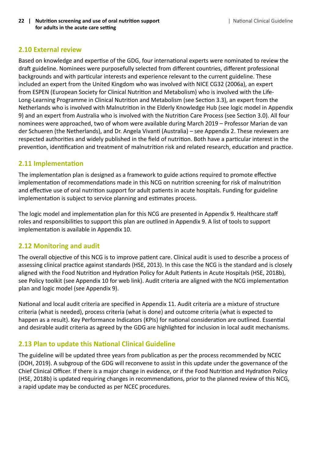# <span id="page-29-0"></span>**2.10 External review**

Based on knowledge and expertise of the GDG, four international experts were nominated to review the draft guideline. Nominees were purposefully selected from different countries, different professional backgrounds and with particular interests and experience relevant to the current guideline. These included an expert from the United Kingdom who was involved with NICE CG32 (2006a), an expert from ESPEN (European Society for Clinical Nutrition and Metabolism) who is involved with the Life-Long-Learning Programme in Clinical Nutrition and Metabolism (see Section 3.3), an expert from the Netherlands who is involved with Malnutrition in the Elderly Knowledge Hub (see logic model in Appendix 9) and an expert from Australia who is involved with the Nutrition Care Process (see Section 3.0). All four nominees were approached, two of whom were available during March 2019 – Professor Marian de van der Schueren (the Netherlands), and Dr. Angela Vivanti (Australia) – see Appendix 2. These reviewers are respected authorities and widely published in the field of nutrition. Both have a particular interest in the prevention, identification and treatment of malnutrition risk and related research, education and practice.

# **2.11 Implementation**

The implementation plan is designed as a framework to guide actions required to promote effective implementation of recommendations made in this NCG on nutrition screening for risk of malnutrition and effective use of oral nutrition support for adult patients in acute hospitals. Funding for guideline implementation is subject to service planning and estimates process.

The logic model and implementation plan for this NCG are presented in Appendix 9. Healthcare staff roles and responsibilities to support this plan are outlined in Appendix 9. A list of tools to support implementation is available in Appendix 10.

# **2.12 Monitoring and audit**

The overall objective of this NCG is to improve patient care. Clinical audit is used to describe a process of assessing clinical practice against standards (HSE, 2013). In this case the NCG is the standard and is closely aligned with the Food Nutrition and Hydration Policy for Adult Patients in Acute Hospitals (HSE, 2018b), see Policy toolkit (see Appendix 10 for web link). Audit criteria are aligned with the NCG implementation plan and logic model (see Appendix 9).

National and local audit criteria are specified in Appendix 11. Audit criteria are a mixture of structure criteria (what is needed), process criteria (what is done) and outcome criteria (what is expected to happen as a result). Key Performance Indicators (KPIs) for national consideration are outlined. Essential and desirable audit criteria as agreed by the GDG are highlighted for inclusion in local audit mechanisms.

# **2.13 Plan to update this National Clinical Guideline**

The guideline will be updated three years from publication as per the process recommended by NCEC (DOH, 2019). A subgroup of the GDG will reconvene to assist in this update under the governance of the Chief Clinical Officer. If there is a major change in evidence, or if the Food Nutrition and Hydration Policy (HSE, 2018b) is updated requiring changes in recommendations, prior to the planned review of this NCG, a rapid update may be conducted as per NCEC procedures.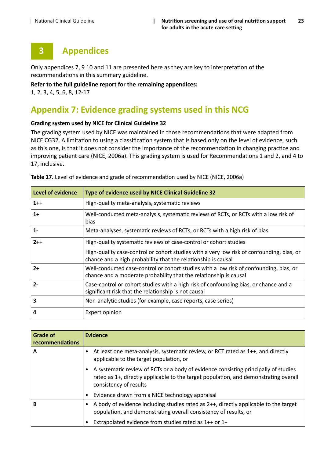# <span id="page-30-0"></span>**3 Appendices**

Only appendices 7, 9 10 and 11 are presented here as they are key to interpretation of the recommendations in this summary guideline.

# **Refer to the full guideline report for the remaining appendices:**

1, 2, 3, 4, 5, 6, 8, 12-17

# **Appendix 7: Evidence grading systems used in this NCG**

# **Grading system used by NICE for Clinical Guideline 32**

The grading system used by NICE was maintained in those recommendations that were adapted from NICE CG32. A limitation to using a classification system that is based only on the level of evidence, such as this one, is that it does not consider the importance of the recommendation in changing practice and improving patient care (NICE, 2006a). This grading system is used for Recommendations 1 and 2, and 4 to 17, inclusive.

| <b>Level of evidence</b> | Type of evidence used by NICE Clinical Guideline 32                                                                                                         |
|--------------------------|-------------------------------------------------------------------------------------------------------------------------------------------------------------|
| $1++$                    | High-quality meta-analysis, systematic reviews                                                                                                              |
| $1+$                     | Well-conducted meta-analysis, systematic reviews of RCTs, or RCTs with a low risk of<br>bias                                                                |
| $1 -$                    | Meta-analyses, systematic reviews of RCTs, or RCTs with a high risk of bias                                                                                 |
| $2 + +$                  | High-quality systematic reviews of case-control or cohort studies                                                                                           |
|                          | High-quality case-control or cohort studies with a very low risk of confounding, bias, or<br>chance and a high probability that the relationship is causal  |
| $2+$                     | Well-conducted case-control or cohort studies with a low risk of confounding, bias, or<br>chance and a moderate probability that the relationship is causal |
| $2 -$                    | Case-control or cohort studies with a high risk of confounding bias, or chance and a<br>significant risk that the relationship is not causal                |
| 3                        | Non-analytic studies (for example, case reports, case series)                                                                                               |
| 4                        | Expert opinion                                                                                                                                              |

**Table 17.** Level of evidence and grade of recommendation used by NICE (NICE, 2006a)

| <b>Grade of</b><br>recommendations | <b>Evidence</b>                                                                                                                                                                                       |
|------------------------------------|-------------------------------------------------------------------------------------------------------------------------------------------------------------------------------------------------------|
| A                                  | • At least one meta-analysis, systematic review, or RCT rated as 1++, and directly<br>applicable to the target population, or                                                                         |
|                                    | A systematic review of RCTs or a body of evidence consisting principally of studies<br>rated as 1+, directly applicable to the target population, and demonstrating overall<br>consistency of results |
|                                    | Evidence drawn from a NICE technology appraisal<br>$\bullet$                                                                                                                                          |
| в                                  | A body of evidence including studies rated as 2++, directly applicable to the target<br>population, and demonstrating overall consistency of results, or                                              |
|                                    | Extrapolated evidence from studies rated as 1++ or 1+                                                                                                                                                 |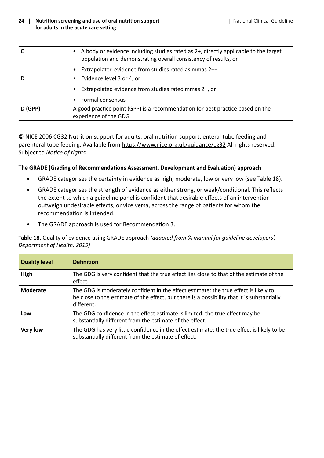|         | A body or evidence including studies rated as 2+, directly applicable to the target<br>population and demonstrating overall consistency of results, or<br>Extrapolated evidence from studies rated as mmas 2++<br>٠ |
|---------|---------------------------------------------------------------------------------------------------------------------------------------------------------------------------------------------------------------------|
|         | Evidence level 3 or 4, or<br>$\bullet$<br>Extrapolated evidence from studies rated mmas 2+, or<br>Formal consensus                                                                                                  |
| D (GPP) | A good practice point (GPP) is a recommendation for best practice based on the<br>experience of the GDG                                                                                                             |

© NICE 2006 CG32 Nutrition support for adults: oral nutrition support, enteral tube feeding and parenteral tube feeding. Available from https://www.nice.org.uk/guidance/cg32 All rights reserved. Subject to *Notice of rights.*

# **The GRADE (Grading of Recommendations Assessment, Development and Evaluation) approach**

- GRADE categorises the certainty in evidence as high, moderate, low or very low (see Table 18).
- GRADE categorises the strength of evidence as either strong, or weak/conditional. This reflects the extent to which a guideline panel is confident that desirable effects of an intervention outweigh undesirable effects, or vice versa, across the range of patients for whom the recommendation is intended.
- The GRADE approach is used for Recommendation 3.

**Table 18.** Quality of evidence using GRADE approach *(adapted from 'A manual for guideline developers', Department of Health, 2019)*

| <b>Quality level</b> | <b>Definition</b>                                                                                                                                                                                 |
|----------------------|---------------------------------------------------------------------------------------------------------------------------------------------------------------------------------------------------|
| High                 | The GDG is very confident that the true effect lies close to that of the estimate of the<br>effect.                                                                                               |
| <b>Moderate</b>      | The GDG is moderately confident in the effect estimate: the true effect is likely to<br>be close to the estimate of the effect, but there is a possibility that it is substantially<br>different. |
| Low                  | The GDG confidence in the effect estimate is limited: the true effect may be<br>substantially different from the estimate of the effect.                                                          |
| <b>Very low</b>      | The GDG has very little confidence in the effect estimate: the true effect is likely to be<br>substantially different from the estimate of effect.                                                |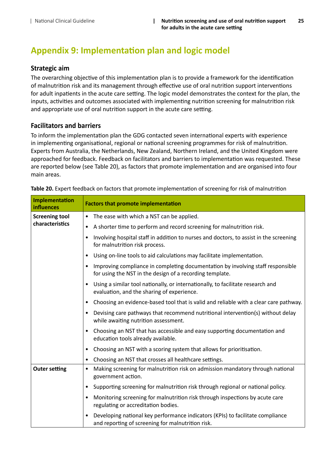# <span id="page-32-0"></span>**Appendix 9: Implementation plan and logic model**

# **Strategic aim**

The overarching objective of this implementation plan is to provide a framework for the identification of malnutrition risk and its management through effective use of oral nutrition support interventions for adult inpatients in the acute care setting. The logic model demonstrates the context for the plan, the inputs, activities and outcomes associated with implementing nutrition screening for malnutrition risk and appropriate use of oral nutrition support in the acute care setting.

# **Facilitators and barriers**

To inform the implementation plan the GDG contacted seven international experts with experience in implementing organisational, regional or national screening programmes for risk of malnutrition. Experts from Australia, the Netherlands, New Zealand, Northern Ireland, and the United Kingdom were approached for feedback. Feedback on facilitators and barriers to implementation was requested. These are reported below (see Table 20), as factors that promote implementation and are organised into four main areas.

| Implementation<br><b>influences</b> | <b>Factors that promote implementation</b>                                                                                                  |
|-------------------------------------|---------------------------------------------------------------------------------------------------------------------------------------------|
| <b>Screening tool</b>               | The ease with which a NST can be applied.<br>$\bullet$                                                                                      |
| characteristics                     | A shorter time to perform and record screening for malnutrition risk.<br>$\bullet$                                                          |
|                                     | Involving hospital staff in addition to nurses and doctors, to assist in the screening<br>for malnutrition risk process.                    |
|                                     | Using on-line tools to aid calculations may facilitate implementation.<br>$\bullet$                                                         |
|                                     | Improving compliance in completing documentation by involving staff responsible<br>for using the NST in the design of a recording template. |
|                                     | Using a similar tool nationally, or internationally, to facilitate research and<br>evaluation, and the sharing of experience.               |
|                                     | Choosing an evidence-based tool that is valid and reliable with a clear care pathway.<br>$\bullet$                                          |
|                                     | Devising care pathways that recommend nutritional intervention(s) without delay<br>while awaiting nutrition assessment.                     |
|                                     | Choosing an NST that has accessible and easy supporting documentation and<br>education tools already available.                             |
|                                     | Choosing an NST with a scoring system that allows for prioritisation.<br>$\bullet$                                                          |
|                                     | Choosing an NST that crosses all healthcare settings.<br>$\bullet$                                                                          |
| <b>Outer setting</b>                | Making screening for malnutrition risk on admission mandatory through national<br>$\bullet$<br>government action.                           |
|                                     | Supporting screening for malnutrition risk through regional or national policy.<br>$\bullet$                                                |
|                                     | Monitoring screening for malnutrition risk through inspections by acute care<br>$\bullet$<br>regulating or accreditation bodies.            |
|                                     | Developing national key performance indicators (KPIs) to facilitate compliance<br>and reporting of screening for malnutrition risk.         |

**Table 20.** Expert feedback on factors that promote implementation of screening for risk of malnutrition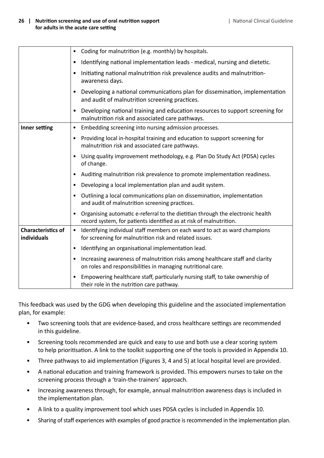|                                          | Coding for malnutrition (e.g. monthly) by hospitals.<br>$\bullet$                                                                                                 |
|------------------------------------------|-------------------------------------------------------------------------------------------------------------------------------------------------------------------|
|                                          | Identifying national implementation leads - medical, nursing and dietetic.<br>$\bullet$                                                                           |
|                                          | Initiating national malnutrition risk prevalence audits and malnutrition-<br>٠<br>awareness days.                                                                 |
|                                          | Developing a national communications plan for dissemination, implementation<br>$\bullet$<br>and audit of malnutrition screening practices.                        |
|                                          | Developing national training and education resources to support screening for<br>$\bullet$<br>malnutrition risk and associated care pathways.                     |
| Inner setting                            | Embedding screening into nursing admission processes.<br>$\bullet$                                                                                                |
|                                          | Providing local in-hospital training and education to support screening for<br>$\bullet$<br>malnutrition risk and associated care pathways.                       |
|                                          | Using quality improvement methodology, e.g. Plan Do Study Act (PDSA) cycles<br>$\bullet$<br>of change.                                                            |
|                                          | Auditing malnutrition risk prevalence to promote implementation readiness.<br>$\bullet$                                                                           |
|                                          | Developing a local implementation plan and audit system.<br>$\bullet$                                                                                             |
|                                          | Outlining a local communications plan on dissemination, implementation<br>$\bullet$<br>and audit of malnutrition screening practices.                             |
|                                          | Organising automatic e-referral to the dietitian through the electronic health<br>$\bullet$<br>record system, for patients identified as at risk of malnutrition. |
| <b>Characteristics of</b><br>individuals | Identifying individual staff members on each ward to act as ward champions<br>$\bullet$<br>for screening for malnutrition risk and related issues.                |
|                                          | Identifying an organisational implementation lead.<br>$\bullet$                                                                                                   |
|                                          | Increasing awareness of malnutrition risks among healthcare staff and clarity<br>$\bullet$<br>on roles and responsibilities in managing nutritional care.         |
|                                          | Empowering healthcare staff, particularly nursing staff, to take ownership of<br>their role in the nutrition care pathway.                                        |

This feedback was used by the GDG when developing this guideline and the associated implementation plan, for example:

- Two screening tools that are evidence-based, and cross healthcare settings are recommended in this guideline.
- Screening tools recommended are quick and easy to use and both use a clear scoring system to help prioritisation. A link to the toolkit supporting one of the tools is provided in Appendix 10.
- Three pathways to aid implementation (Figures 3, 4 and 5) at local hospital level are provided.
- A national education and training framework is provided. This empowers nurses to take on the screening process through a 'train-the-trainers' approach.
- Increasing awareness through, for example, annual malnutrition awareness days is included in the implementation plan.
- A link to a quality improvement tool which uses PDSA cycles is included in Appendix 10.
- Sharing of staff experiences with examples of good practice is recommended in the implementation plan.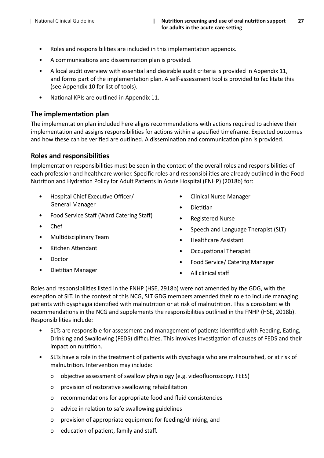- Roles and responsibilities are included in this implementation appendix.
- A communications and dissemination plan is provided.
- A local audit overview with essential and desirable audit criteria is provided in Appendix 11, and forms part of the implementation plan. A self-assessment tool is provided to facilitate this (see Appendix 10 for list of tools).
- National KPIs are outlined in Appendix 11.

# **The implementation plan**

The implementation plan included here aligns recommendations with actions required to achieve their implementation and assigns responsibilities for actions within a specified timeframe. Expected outcomes and how these can be verified are outlined. A dissemination and communication plan is provided.

# **Roles and responsibilities**

Implementation responsibilities must be seen in the context of the overall roles and responsibilities of each profession and healthcare worker. Specific roles and responsibilities are already outlined in the Food Nutrition and Hydration Policy for Adult Patients in Acute Hospital (FNHP) (2018b) for:

- Hospital Chief Executive Officer/ General Manager
- Food Service Staff (Ward Catering Staff)
- Chef
- Multidisciplinary Team
- Kitchen Attendant
- Doctor
- Dietitian Manager
- Clinical Nurse Manager
- **Dietitian**
- Registered Nurse
- Speech and Language Therapist (SLT)
- Healthcare Assistant
- Occupational Therapist
- Food Service/ Catering Manager
- All clinical staff

Roles and responsibilities listed in the FNHP (HSE, 2918b) were not amended by the GDG, with the exception of SLT. In the context of this NCG, SLT GDG members amended their role to include managing patients with dysphagia identified with malnutrition or at risk of malnutrition. This is consistent with recommendations in the NCG and supplements the responsibilities outlined in the FNHP (HSE, 2018b). Responsibilities include:

- SLTs are responsible for assessment and management of patients identified with Feeding, Eating, Drinking and Swallowing (FEDS) difficulties. This involves investigation of causes of FEDS and their impact on nutrition.
- SLTs have a role in the treatment of patients with dysphagia who are malnourished, or at risk of malnutrition. Intervention may include:
	- o objective assessment of swallow physiology (e.g. videofluoroscopy, FEES)
	- o provision of restorative swallowing rehabilitation
	- o recommendations for appropriate food and fluid consistencies
	- o advice in relation to safe swallowing guidelines
	- o provision of appropriate equipment for feeding/drinking, and
	- o education of patient, family and staff.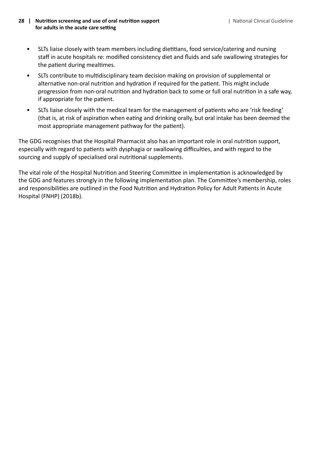# **28 | Nutrition screening and use of oral nutrition support for adults in the acute care setting**

- SLTs liaise closely with team members including dietitians, food service/catering and nursing staff in acute hospitals re: modified consistency diet and fluids and safe swallowing strategies for the patient during mealtimes.
- SLTs contribute to multidisciplinary team decision making on provision of supplemental or alternative non-oral nutrition and hydration if required for the patient. This might include progression from non-oral nutrition and hydration back to some or full oral nutrition in a safe way, if appropriate for the patient.
- SLTs liaise closely with the medical team for the management of patients who are 'risk feeding' (that is, at risk of aspiration when eating and drinking orally, but oral intake has been deemed the most appropriate management pathway for the patient).

The GDG recognises that the Hospital Pharmacist also has an important role in oral nutrition support, especially with regard to patients with dysphagia or swallowing difficulties, and with regard to the sourcing and supply of specialised oral nutritional supplements.

The vital role of the Hospital Nutrition and Steering Committee in implementation is acknowledged by the GDG and features strongly in the following implementation plan. The Committee's membership, roles and responsibilities are outlined in the Food Nutrition and Hydration Policy for Adult Patients in Acute Hospital (FNHP) (2018b).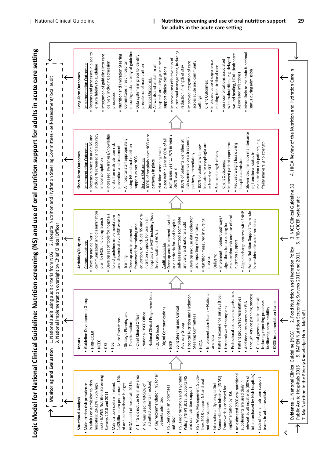

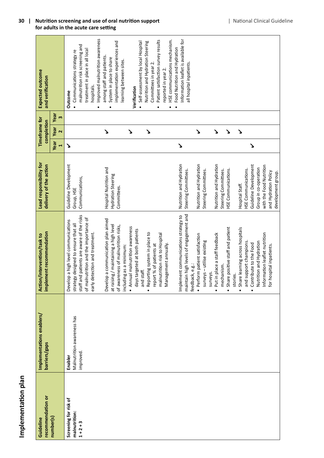| ۶<br>I |
|--------|
| ţ      |
| ۶      |
|        |
| ĩ      |
|        |
|        |
| ı      |
|        |
|        |
|        |
|        |
|        |
|        |
|        |
|        |

| recommendation or<br>Guideline | Implementations enablers/<br>barriers/gaps | implement recommendation<br>Action/intervention/task to | Lead responsibility for<br>delivery of the action |           | Timeframe for<br>completion  |           | <b>Expected outcome</b><br>and verification      |
|--------------------------------|--------------------------------------------|---------------------------------------------------------|---------------------------------------------------|-----------|------------------------------|-----------|--------------------------------------------------|
| number(s)                      |                                            |                                                         |                                                   | Year<br>- | Year<br>$\mathbf{\tilde{z}}$ | Year<br>m |                                                  |
| Screening for risk of          | Enabler                                    | high level communications<br>Develop a                  | Guideline Development                             | ↘         |                              |           | Outcome                                          |
| malnutrition:                  | Malnutrition awareness has                 | strategy designed to ensure that all                    | Group, HSE                                        |           |                              |           | Communications strategy re                       |
| $1 + 2 + 3$                    | improved.                                  | staff and patients are aware of the risks               | Communications,                                   |           |                              |           | malnutrition risk screening and                  |
|                                |                                            | of malnutrition and the importance of                   |                                                   |           |                              |           | treatment in place in all local                  |
|                                |                                            | early detection and treatment.                          |                                                   |           |                              |           | hospitals.                                       |
|                                |                                            |                                                         |                                                   |           |                              |           | Improved malnutrition awareness<br>$\bullet$     |
|                                |                                            | communication plan aimed<br>Develop a                   | Hospital Nutrition and                            |           | ゝ                            |           | among staff and patients.                        |
|                                |                                            | at raising / maintaining a high level                   | Hydration Steering                                |           |                              |           | System in place to share                         |
|                                |                                            | of awareness of malnutrition risks,                     | Committees.                                       |           |                              |           | implementation experiences and                   |
|                                |                                            | including                                               |                                                   |           |                              |           | learning between sites.                          |
|                                |                                            | as a minimum:                                           |                                                   |           |                              |           |                                                  |
|                                |                                            | malnutrition awareness<br>· Annual                      |                                                   |           | ゝ                            |           |                                                  |
|                                |                                            | days targeted at both patients                          |                                                   |           |                              |           | Verification                                     |
|                                |                                            | and staff.                                              |                                                   |           |                              |           | Self-assessment by local Hospital<br>$\bullet$   |
|                                |                                            | Reporting system in place to<br>$\bullet$               |                                                   |           | ↘                            |           | Nutrition and Hydration Steering                 |
|                                |                                            | report % of patients at                                 |                                                   |           |                              |           | Committees in year 2                             |
|                                |                                            | malnutrition risk to Hospital                           |                                                   |           |                              |           | Patient satisfaction survey results<br>$\bullet$ |
|                                |                                            |                                                         |                                                   |           |                              |           | reported in year 2                               |
|                                |                                            | Management annually.                                    |                                                   |           |                              |           | HSE communications mechanism.<br>$\bullet$       |
|                                |                                            |                                                         |                                                   |           |                              |           | Food Nutrition and Hydration                     |
|                                |                                            | Implement communications strategy to                    | Nutrition and Hydration                           | ↘         |                              |           | Information leaflet is available for             |
|                                |                                            | high levels of engagement and<br>maintain               | Steering Committees.                              |           |                              |           | all hospital inpatients.                         |
|                                |                                            | feedback, e.g.                                          |                                                   |           |                              |           |                                                  |
|                                |                                            | · Perform patient satisfaction                          | Nutrition and Hydration                           |           | ゝ                            |           |                                                  |
|                                |                                            | - utilise existing<br>surveys                           | Steering Committees.                              |           |                              |           |                                                  |
|                                |                                            | surveys.                                                |                                                   |           |                              |           |                                                  |
|                                |                                            | Put in place a staff feedback<br>$\bullet$              | Nutrition and Hydration                           |           | ↘                            |           |                                                  |
|                                |                                            | mechanism.                                              | Steering Committees.                              |           |                              |           |                                                  |
|                                |                                            | Share positive staff and patient<br>$\bullet$           | HSE Communications.                               |           | ↘                            |           |                                                  |
|                                |                                            | stories.                                                |                                                   |           |                              |           |                                                  |
|                                |                                            | Share learning across hospitals                         | Hospital Staff.                                   |           |                              |           |                                                  |
|                                |                                            | and support champions.                                  | HSE Communications.                               |           |                              |           |                                                  |
|                                |                                            | Contribute to the Food<br>$\bullet$                     | Guideline Development                             | ↘         |                              |           |                                                  |
|                                |                                            | Nutrition and Hydration                                 | Group in co-operation                             |           |                              |           |                                                  |
|                                |                                            | Information leaflet nutrition                           | with the Food Nutrition                           |           |                              |           |                                                  |
|                                |                                            | pital inpatients.<br>for hosp                           | and Hydration Policy                              |           |                              |           |                                                  |
|                                |                                            |                                                         | development group.                                |           |                              |           |                                                  |

# **30 | Nutrition screening and use of oral nutrition support for adults in the acute care setting**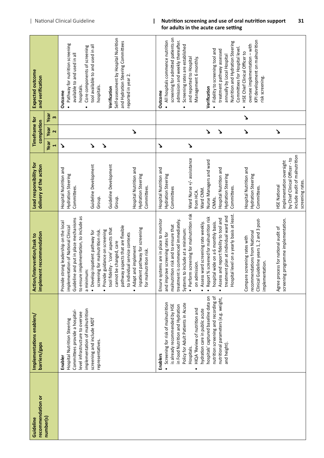| recommendation or<br>Guideline | Implementations enablers/<br>barriers/gaps                                                                                                                                                                                                                                                                                                                                                                        | implement recommendation<br>'intervention/task to<br><b>Action</b>                                                                                                                                                                                                                                                                                                                                                                                                                                                                                                                                                                                                                                                                    | Lead responsibility for<br>delivery of the action                                                                                                                                                                                                                                                                                       |                        | Timeframe for<br>completion               |           | <b>Expected outcome</b><br>and verification                                                                                                                                                                                                                                                                                                                                                                                                                                                                               |
|--------------------------------|-------------------------------------------------------------------------------------------------------------------------------------------------------------------------------------------------------------------------------------------------------------------------------------------------------------------------------------------------------------------------------------------------------------------|---------------------------------------------------------------------------------------------------------------------------------------------------------------------------------------------------------------------------------------------------------------------------------------------------------------------------------------------------------------------------------------------------------------------------------------------------------------------------------------------------------------------------------------------------------------------------------------------------------------------------------------------------------------------------------------------------------------------------------------|-----------------------------------------------------------------------------------------------------------------------------------------------------------------------------------------------------------------------------------------------------------------------------------------------------------------------------------------|------------------------|-------------------------------------------|-----------|---------------------------------------------------------------------------------------------------------------------------------------------------------------------------------------------------------------------------------------------------------------------------------------------------------------------------------------------------------------------------------------------------------------------------------------------------------------------------------------------------------------------------|
| number(s)                      |                                                                                                                                                                                                                                                                                                                                                                                                                   |                                                                                                                                                                                                                                                                                                                                                                                                                                                                                                                                                                                                                                                                                                                                       |                                                                                                                                                                                                                                                                                                                                         | Year<br>$\blacksquare$ | Year<br>m<br>Year<br>$\mathbf{\tilde{z}}$ |           |                                                                                                                                                                                                                                                                                                                                                                                                                                                                                                                           |
|                                | implementation of malnutrition<br>Committees provide a hospital-<br>level infrastructure to oversee<br>screening and include MDT<br>Hospital Nutrition Steering<br>representatives.<br>Enabler                                                                                                                                                                                                                    | to ensure implementation, to include as<br>Guideline and put in place mechanisms<br>Provide strong leadership on the local<br>implementation of National Clinical<br>pathway aspects that are flexible<br>inpatient pathway for screening<br>tool fidelity - 'core' aspects that<br>screening for malnutrition risk.<br>Provide guidance on screening<br>• Develop inpatient pathway for<br>to individual service contexts<br>cannot be changed, care<br>Adapt and implement<br>for malnutrition risk.<br>a minimum:<br>$\bullet$<br>$\bullet$                                                                                                                                                                                        | Guideline Development<br>Guideline Development<br>Hospital Nutrition and<br>Hospital Nutrition and<br>Hydration Steering<br>Hydration Steering<br>Committees.<br>Committees.<br>Group.<br>Group.                                                                                                                                        | ゝ<br>ゝ<br>↘            | ↘                                         | $\bullet$ | Self-assessment by Hospital Nutrition<br>and Hydration Steering Committees<br>Pathway for nutrition screening<br>tool available to and used in all<br>Core components of screening<br>available to and used in all<br>reported in year 2.<br>hospitals.<br>hospitals.<br>Verification<br>Outcome                                                                                                                                                                                                                          |
|                                | hospitals' captured baseline data on<br>nutrition screening and recording of<br>nutritional parameters (e.g. weight,<br>Screening for risk of malnutrition<br>Policy for Adult Patients in Acute<br>is already recommended by HSE<br>in Food Nutrition and Hydration<br>HIQA 'Review of nutrition and<br>hydration care in public acute<br>and height)<br>Hospitals.<br><b>Enablers</b><br>$\bullet$<br>$\bullet$ | · Perform screening for malnutrition risk<br>Hospital level on a yearly basis at least.<br>treatment plan at individual ward and<br>Report % screened for malnutrition risk<br>Assess and report fidelity to tool and<br>Clinical Guideline years 1, 2 and 3 post-<br>g programme implementation.<br>Ensure systems are in place to monitor<br>treatment is commenced immediately.<br>hospital wide on a 6 monthly basis.<br>Assess ward screening rate weekly.<br>malnutrition risk and to ensure that<br>Agree process for national audit of<br>Systems to include at a minimum<br>recommendations from National<br>and improve screening rates for<br>Compare screening rates with<br>on admission.<br>implementation.<br>screenin | Ward Nurse +/- assisstance<br>Nurse Managers and ward<br>implementation oversight<br>Hospital Nutrition and<br>Hospital Nutrition and<br>Hospital Nutrition and<br>Hydration Steering<br>Hydration Steering<br>Hydration Steering<br><b>HSE National</b><br>Committees.<br>Committees.<br>Committees<br>Ward CNM.<br>from HCA.<br>CNMS. | ゝ<br>↘                 | ↘<br>↘<br>↘<br>↘<br>↘                     | $\bullet$ | screening for admitted patients on<br>All hospitals commence nutrition<br>admission and weekly thereafter.<br>KPI development on malnutrition<br>Nutrition and Hydration Steering<br>oversee implementation - with<br>Screening rates are established<br>Committees for Hospital level.<br>Fidelity to screening tool and<br>treatment pathway assessed<br>HSE Chief Clinical Officer to<br>annually by Local Hospital<br>and reported to Hospital<br>Management 6 monthly.<br>risk screening.<br>Verification<br>Outcome |
|                                |                                                                                                                                                                                                                                                                                                                                                                                                                   |                                                                                                                                                                                                                                                                                                                                                                                                                                                                                                                                                                                                                                                                                                                                       | include audit of malnutrition<br>by Chief Clinical Officer - to<br>screening rates.                                                                                                                                                                                                                                                     |                        |                                           |           |                                                                                                                                                                                                                                                                                                                                                                                                                                                                                                                           |

# **| Nutrition screening and use of oral nutrition support 31 for adults in the acute care setting**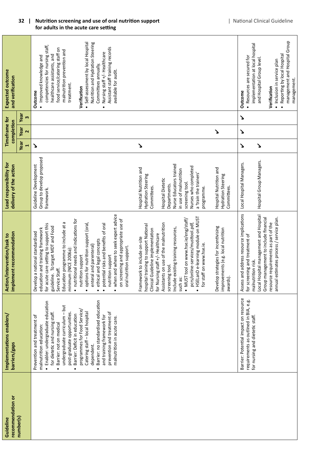| recommendation or<br>Guideline | Implementations enablers/<br>barriers/gaps                                                                                                                                                                                                                                                                                                                                                                                                                                                                              | implement recommendation<br>Action/intervention/task to                                                                                                                                                                                                                                                                                                                                                                                                                                                                                                                                     | Lead responsibility for<br>delivery of the action                                                                                                                                                                                        |                              | <b>Timeframe for</b><br>completion                   | Expected outcome<br>and verification                                                                                                                                                                                                                                                                                      |                                                                                                          |
|--------------------------------|-------------------------------------------------------------------------------------------------------------------------------------------------------------------------------------------------------------------------------------------------------------------------------------------------------------------------------------------------------------------------------------------------------------------------------------------------------------------------------------------------------------------------|---------------------------------------------------------------------------------------------------------------------------------------------------------------------------------------------------------------------------------------------------------------------------------------------------------------------------------------------------------------------------------------------------------------------------------------------------------------------------------------------------------------------------------------------------------------------------------------------|------------------------------------------------------------------------------------------------------------------------------------------------------------------------------------------------------------------------------------------|------------------------------|------------------------------------------------------|---------------------------------------------------------------------------------------------------------------------------------------------------------------------------------------------------------------------------------------------------------------------------------------------------------------------------|----------------------------------------------------------------------------------------------------------|
| number(s)                      |                                                                                                                                                                                                                                                                                                                                                                                                                                                                                                                         |                                                                                                                                                                                                                                                                                                                                                                                                                                                                                                                                                                                             |                                                                                                                                                                                                                                          | Year<br>$\blacktriangleleft$ | Year<br>$\mathbf{m}$<br>Year<br>$\mathbf{\tilde{z}}$ |                                                                                                                                                                                                                                                                                                                           |                                                                                                          |
|                                | Barrier: no standardised education<br>· Enabler: undergraduate education<br>undergraduate curriculum - but<br>programmes for Food Service,<br>Catering staff - local hospital<br>prevention and treatment of<br>post-graduate opportunities.<br>for dietetic and nursing staff.<br>Barrier: Deficit in education<br>Prevention and treatment of<br>and training framework for<br>malnutrition in acute care.<br>Barrier: not on medical<br>malnutrition education:<br>dependent.<br>$\bullet$<br>$\bullet$<br>$\bullet$ | when and where to seek expert advice<br>· nutritional needs and indications for<br>on screening and appropriate use of<br>Education programme to include at a<br>options for nutrition support (oral,<br>for acute care setting to support this<br>potential risks and benefits of oral<br>guideline. To target MDT and Food<br>education and training framework<br>Develop a national standardised<br>ethical and legal concepts<br>and parenteral)<br>oral nutrition support.<br>minimum (NICE 2006a)<br>nutrition support<br>nutrition support<br>Service Staff.<br>enteral<br>$\bullet$ | Group to develop proposed<br>Guideline Development<br>framework.                                                                                                                                                                         | ゝ                            |                                                      | Assistant staff training records<br>food service/catering staff on<br>malnutrition prevention and<br>Nursing staff +/- Healthcare<br>healthcare assistants, and<br>Improved knowledge and<br>Committees annually.<br>available for audit.<br>treatment.<br>Verification<br>Outcome<br>$\bullet$<br>$\bullet$<br>$\bullet$ | Self-assessment by local Hospital<br>Nutrition and Hydration Steering<br>competencies for nursing staff, |
|                                |                                                                                                                                                                                                                                                                                                                                                                                                                                                                                                                         | pcrs/online-services/musttool.pdf,<br>HSELanD e-learning module on MUST<br>• MUST tool on www.hse.ie/eng/staff/<br>Assistants on use of the malnutrition<br>hospital training to support National<br>Include existing training resources,<br>Clinical Guideline implementation<br>for Nursing staff +/- Healthcare<br>Framework to include on-site<br>for staff on www.hse.ie.<br>screening tool.<br>such as:                                                                                                                                                                               | Nurse Educators trained<br>Nurses who completed<br>Hospital Nutrition and<br>in use of malnutrition<br>a 'train the trainers'<br>Hydration Steering<br>Hospital Dietetic<br>screening tool.<br>Departments.<br>Committees.<br>programme. | ↘                            |                                                      |                                                                                                                                                                                                                                                                                                                           |                                                                                                          |
|                                |                                                                                                                                                                                                                                                                                                                                                                                                                                                                                                                         | Develop strategies for incentivising<br>improvements (e.g. local nutrition<br>awards).                                                                                                                                                                                                                                                                                                                                                                                                                                                                                                      | Hospital Nutrition and<br>Hydration Steering<br>Committees.                                                                                                                                                                              |                              | ↘                                                    |                                                                                                                                                                                                                                                                                                                           |                                                                                                          |
|                                | Barrier: Potential impact on resource<br>requirements as outlined in BIA, e.g.<br>for nursing and dietetic staff.                                                                                                                                                                                                                                                                                                                                                                                                       | Assess and address resource implications<br>Local Hospital management and Hospital<br>Group management to include financial<br>annual estimates process / service plan.<br>resource requirements as part of the<br>for screening and treatment of<br>malnutrition risk.                                                                                                                                                                                                                                                                                                                     | Hospital Group Managers.<br>Local Hospital Managers.                                                                                                                                                                                     | ↘<br>↘                       | ↘<br>↘                                               | • Reporting by local Hospital<br>• Resources are secured for<br>and Hospital Group level.<br>· Inclusion in service plan<br>management.<br>Verification<br>Outcome                                                                                                                                                        | management and Hospital Group<br>implementation at local hospital                                        |

**32 | Nutrition screening and use of oral nutrition support for adults in the acute care setting**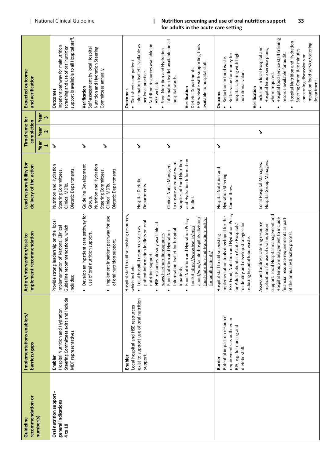| recommendation or<br>Guideline                             | Implementations enablers/<br>barriers/gaps                                                                                    | implement recommendation<br>Action/intervention/task to                                                                                                                                                                                         | Lead responsibility for<br>delivery of the action                                                       |                        | Timeframe for<br>completion  |           | <b>Expected outcome</b><br>and verification                                                                                                                                                                                            |  |
|------------------------------------------------------------|-------------------------------------------------------------------------------------------------------------------------------|-------------------------------------------------------------------------------------------------------------------------------------------------------------------------------------------------------------------------------------------------|---------------------------------------------------------------------------------------------------------|------------------------|------------------------------|-----------|----------------------------------------------------------------------------------------------------------------------------------------------------------------------------------------------------------------------------------------|--|
| number(s)                                                  |                                                                                                                               |                                                                                                                                                                                                                                                 |                                                                                                         | Year<br>$\blacksquare$ | Year<br>$\mathbf{\tilde{z}}$ | Year<br>m |                                                                                                                                                                                                                                        |  |
| Oral nutrition support -<br>general indications<br>4 to 10 | Steering Committees exist and include<br>Hospital Nutrition and Hydration<br>MDT representatives.<br>Enabler                  | strong leadership on the local<br>Guideline recommendations, which<br>implementation of National Clinical<br>includes:<br>Provide                                                                                                               | Nutrition and Hydration<br>Dietetic Departments.<br>Steering Committees.<br>Clinical MDT <sub>5</sub> . | ↘                      |                              |           | support is available to all Hospital staff.<br>Inpatient pathway for malnutrition<br>screening and use of oral nutrition<br><b>Outcomes</b>                                                                                            |  |
|                                                            |                                                                                                                               | Develop an inpatient care pathway for<br>use of oral nutrition support.<br>$\bullet$                                                                                                                                                            | Nutrition and Hydration<br>Guideline Development<br>Group.                                              | ↘                      |                              |           | Self-assessment by local Hospital<br>Nutrition and Hydration Steering<br>Verification                                                                                                                                                  |  |
|                                                            |                                                                                                                               | Implement inpatient pathway for use<br>of oral nutrition support.<br>$\bullet$                                                                                                                                                                  | Dietetic Departments.<br>Steering Committees.<br>Clinical MDTs.                                         | ↘                      |                              |           | Committees annually.                                                                                                                                                                                                                   |  |
|                                                            | exist to support use of oral nutrition<br>Local hospital and HSE resources<br>Enabler                                         | Hospital staff to utilise existing resources,<br>Local hospital resources such as<br>which include:<br>$\bullet$                                                                                                                                | Hospital Dietetic                                                                                       | ↘                      |                              |           | information leaflets available as<br>• Diet sheets and patient<br>Outcomes                                                                                                                                                             |  |
|                                                            | support.                                                                                                                      | patient information leaflets on oral<br>HSE resources already available at<br>nutrition support.                                                                                                                                                | Departments.                                                                                            |                        |                              |           | Nutrition resources available on<br>per local practice.<br>HSE website.<br>$\bullet$                                                                                                                                                   |  |
|                                                            |                                                                                                                               | Information leaflet for hospital<br>Food Nutrition and Hydration<br>www.hse/nutritionsupports                                                                                                                                                   | to ensure adequate ward<br>Clinical Nurse Managers                                                      | ↘                      |                              |           | Information leaflet available on all<br>Food Nutrition and Hydration<br>hospital wards.<br>$\bullet$                                                                                                                                   |  |
|                                                            |                                                                                                                               | about/who/acute-hospitals-division/<br>food-nutrition-and-hydration-policy-<br>Food Nutrition and Hydration Policy<br>toolkit https://www.hse.ie/eng,<br>for-adult-patients/<br>inpatients                                                      | and Hydration Information<br>supplies of Food Nutrition<br>leaflet.                                     |                        |                              |           | HSE website with supporting tools<br>available to hospital staff.<br>Dietetic Departments.<br>Verification                                                                                                                             |  |
|                                                            | Potential impact on resource<br>requirements as outlined in<br>BIA, e.g. for nursing and<br>dietetic staff.<br><b>Barrier</b> | 'HSE Food, Nutrition and Hydration Policy<br>implementation tools developed for the<br>to identify and develop strategies for<br>for Adult Patients in Acute Hospitals'<br>Hospital staff to utilise existing<br>reducing hospital food waste.  | Hospital Nutrition and<br>Hydration Steering<br>Committees.                                             | ↘                      |                              |           | hospital catering with high<br>Better value for money for<br>Reduction in food waste.<br>nutritional value.<br>Verification<br>Outcome<br>$\bullet$                                                                                    |  |
|                                                            |                                                                                                                               | support. Local Hospital management and<br>Hospital Group management to include<br>financial resource requirements as part<br>Assess and address catering resource<br>implications for use of oral nutrition<br>of the annual estimates process. | Hospital Group Managers.<br>Local Hospital Managers.                                                    |                        | ↘                            |           | Hospital food service staff training<br>Hospital Nutrition and Hydration<br>Inclusion in local Hospital and<br>Hospital Group service plans,<br>records available for audit.<br>where required.<br>$\bullet$<br>$\bullet$<br>$\bullet$ |  |
|                                                            |                                                                                                                               |                                                                                                                                                                                                                                                 |                                                                                                         |                        |                              |           | impact on food service/catering<br>Steering Committee minutes<br>concerning discussions on<br>department.                                                                                                                              |  |

# **| Nutrition screening and use of oral nutrition support 33 for adults in the acute care setting**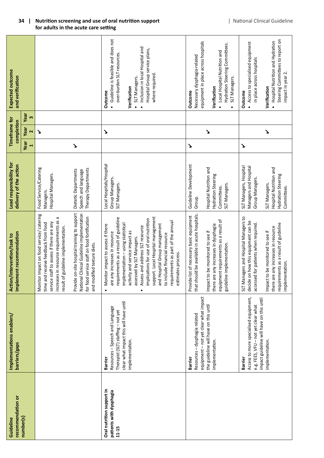| <b>Expected outcome</b><br>and verification                  |                               |                                                                                                                                                                                                                     |                                                                                                                                                                              | Guideline is feasible and does not<br>Inclusion in local Hospital and<br>Hospital Group service plans,<br>over-burden SLT resources<br>where required.<br>SLT Managers.<br>Verification<br>Outcome<br>$\bullet$                                                                                                                                                                                                                                                   | equipment in place across hospitals<br>Hydration Steering Committees.<br>Local Hospital Nutrition and<br>Necessary dysphagia-related<br>SLT Managers.<br>Verification<br>Outcome<br>$\bullet$                                               | Steering Committees to report on<br>Hospital Nutrition and Hydration<br>Access to specialised equipment<br>in place across hospitals<br>impact in year 2.<br>Verification<br>Outcome<br>$\bullet$                                                              |
|--------------------------------------------------------------|-------------------------------|---------------------------------------------------------------------------------------------------------------------------------------------------------------------------------------------------------------------|------------------------------------------------------------------------------------------------------------------------------------------------------------------------------|-------------------------------------------------------------------------------------------------------------------------------------------------------------------------------------------------------------------------------------------------------------------------------------------------------------------------------------------------------------------------------------------------------------------------------------------------------------------|---------------------------------------------------------------------------------------------------------------------------------------------------------------------------------------------------------------------------------------------|----------------------------------------------------------------------------------------------------------------------------------------------------------------------------------------------------------------------------------------------------------------|
|                                                              | Year<br>$\mathbf{c}$          |                                                                                                                                                                                                                     |                                                                                                                                                                              |                                                                                                                                                                                                                                                                                                                                                                                                                                                                   |                                                                                                                                                                                                                                             |                                                                                                                                                                                                                                                                |
| <b>Timeframe for</b><br>completion                           | Year<br>$\mathbf{\Omega}$     | ↘                                                                                                                                                                                                                   |                                                                                                                                                                              | ゝ                                                                                                                                                                                                                                                                                                                                                                                                                                                                 | ゝ                                                                                                                                                                                                                                           | ↘                                                                                                                                                                                                                                                              |
|                                                              | Year<br>$\mathbf{\mathbf{t}}$ |                                                                                                                                                                                                                     | ↘                                                                                                                                                                            |                                                                                                                                                                                                                                                                                                                                                                                                                                                                   | ↘                                                                                                                                                                                                                                           | ↘                                                                                                                                                                                                                                                              |
| Lead responsibility for<br>delivery of the action            |                               | Food Service/Catering<br>Hospital Managers.<br>Managers.                                                                                                                                                            | Therapy Departments<br>Dietetic Departments<br>Speech and language                                                                                                           | Local Hospitals/Hospital<br>Group Managers.<br>SLT Managers.                                                                                                                                                                                                                                                                                                                                                                                                      | Guideline Development<br>Hospital Nutrition and<br>Hydration Steering<br>SLT Managers.<br>Committees.<br>Group.                                                                                                                             | SLT Managers, Hospital<br>Managers and Hospital<br>Hospital Nutrition and<br>Hydration Steering<br>Group Managers.<br>SLT Managers.<br>Committees.                                                                                                             |
| implement recommendation<br>intervention/task to<br>Action/i |                               | impact on food service/ catering<br>increases in resource requirements as a<br>service staff to assess if there are any<br>receive feedback from food<br>result of guideline implementation.<br>time and<br>Monitor | Provide on-site hospital training to support<br>Clinical Guideline implementation<br>for food service staff on food fortification<br>and modified texture diets.<br>National | support. Local Hospital management<br>requirements as a result of guideline<br>implications for use of oral nutrition<br>requirements as part of the annual<br>implementation - using statistical<br>and Hospital Group management<br>Monitor impact to assess if there<br>Assess and address SLT resource<br>activity and service impact as<br>are any increases in resource<br>to include financial resource<br>assessed by SLT Managers.<br>estimates process. | that should be available in acute hospitals.<br>Provide list of necessary basic equipment<br>equipment requirements as a result of<br>there are any increases in dysphagia<br>Impact to be monitored to see if<br>guideline implementation. | SLT Managers and Hospital Managers to<br>decide on how this equipment can be<br>for patients when required.<br>requirements as a result of guideline<br>there are any increases in resource<br>Impact to be monitored to see if<br>implementation.<br>accessed |
| Implementations enablers/<br>barriers/gaps                   |                               |                                                                                                                                                                                                                     |                                                                                                                                                                              | clear what impact this will have until<br>Resources - Speech and Language<br>Therapist (SLT) staffing - not yet<br>implementation.<br>Barrier                                                                                                                                                                                                                                                                                                                     | equipment - not yet clear what impact<br>the guideline will have on this until<br>Resources - dysphagia related<br>implementation.<br>Barrier                                                                                               | Access to more specialised equipment,<br>impact guideline will have on this until<br>e.g. FEES, VFU - not yet clear what<br>implementation.<br>Barrier                                                                                                         |
| recommendation or<br>Guideline                               | number(s)                     |                                                                                                                                                                                                                     |                                                                                                                                                                              | Oral nutrition support in<br>patients with dysphagia<br>11-15                                                                                                                                                                                                                                                                                                                                                                                                     |                                                                                                                                                                                                                                             |                                                                                                                                                                                                                                                                |

**34 | Nutrition screening and use of oral nutrition support for adults in the acute care setting**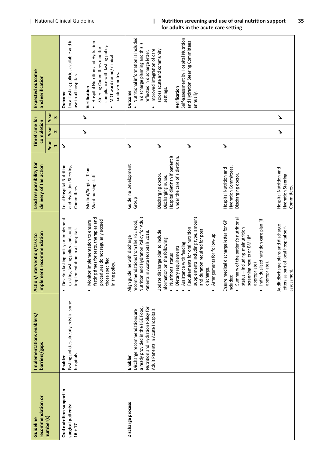| recommendation or<br>number(s)<br>Guideline | Implementations enablers/<br>barriers/gaps                                                                                                                | implement recommendation<br>Action/intervention/task to                                                                                                                                                      | Lead responsibility for<br>delivery of the action                             | Year                | <b>Timeframe for</b><br>completion<br>Year | Expected outcome<br>and verification<br>Year                                                    |                                                                                                                                              |
|---------------------------------------------|-----------------------------------------------------------------------------------------------------------------------------------------------------------|--------------------------------------------------------------------------------------------------------------------------------------------------------------------------------------------------------------|-------------------------------------------------------------------------------|---------------------|--------------------------------------------|-------------------------------------------------------------------------------------------------|----------------------------------------------------------------------------------------------------------------------------------------------|
| Oral nutrition support in                   | Enabler                                                                                                                                                   | Develop fasting policy or implement<br>$\bullet$                                                                                                                                                             | Local Hospital Nutrition                                                      | $\blacksquare$<br>↘ | $\mathbf{\tilde{z}}$                       | Outcome<br>m                                                                                    |                                                                                                                                              |
| surgical patients:<br>$16 + 17$             | Fasting policies already exist in some<br>hospitals.                                                                                                      | existing fasting policy and audit<br>implementation in all hospitals.                                                                                                                                        | and Hydration Steering<br>Committees.                                         |                     |                                            | use in all hospitals.                                                                           | Local fasting policies available and in                                                                                                      |
|                                             |                                                                                                                                                           | fasting times for tests, therapies and<br>procedures do not regularly exceed<br>Monitor implementation to ensure<br>those specified<br>re policy.<br>th th<br>$\bullet$                                      | Medical/Surgical Teams.<br>Ward nursing staff.                                |                     | ↘<br>↘                                     | MDT ward round/clinical<br>handover notes.<br>Verification<br>$\ddot{\phantom{0}}$<br>$\bullet$ | Hospital Nutrition and Hydration<br>compliance with fasting policy.<br>Steering Committees monitor                                           |
| Discharge process                           | already provided in the HSE Food,<br>Nutrition and Hydration Policy for<br>Adult Patients in Acute Hospitals.<br>Discharge recommendations are<br>Enabler | Nutrition and Hydration Policy for Adult<br>recommendations from the HSE Food,<br>Patients in Acute Hospitals 2018.<br>Align guideline with discharge                                                        | Guideline Development<br>Group                                                | ↘                   |                                            | Outcome                                                                                         | • Nutritional information is included<br>in discharge planning and this is<br>Improved integration of care<br>reflected in discharge letter. |
|                                             |                                                                                                                                                           | Update discharge plan to include<br>information on the following:<br>Nutritional status                                                                                                                      | Hospital dietitian if patient is<br>Discharging doctor.<br>Discharging nurse. | ↘                   |                                            | settings.                                                                                       | across acute and community                                                                                                                   |
|                                             |                                                                                                                                                           | Assistance with feeding<br>Dietary requirements<br>$\bullet$                                                                                                                                                 | under the care of a dietitian.                                                |                     |                                            | Verification                                                                                    | Self-assessment by Hospital Nutrition                                                                                                        |
|                                             |                                                                                                                                                           | supplements including type, amount<br>Requirements for oral nutrition<br>and duration required for post<br>Arrangements for follow-up.<br>discharge.<br>$\bullet$<br>$\bullet$                               |                                                                               | ゝ                   |                                            | annually.                                                                                       | and Hydration Steering Committees                                                                                                            |
|                                             |                                                                                                                                                           | medical discharge letter for GP<br>ڹؿ<br><b>Ensure</b><br>include:                                                                                                                                           | Hydration Committees.<br>Hospital Nutrition and                               | ↘                   |                                            |                                                                                                 |                                                                                                                                              |
|                                             |                                                                                                                                                           | Summary of the patient's nutritional<br>Individualised nutrition care plan (if<br>status - including malnutrition<br>screening results or BMI (if<br>appropriate).<br>appropriate)<br>$\bullet$<br>$\bullet$ | Discharging doctor.                                                           |                     |                                            |                                                                                                 |                                                                                                                                              |
|                                             |                                                                                                                                                           | Audit discharge plans and discharge<br>letters as part of local hospital self-<br>assessment.                                                                                                                | Hospital Nutrition and<br>Hydration Steering<br>Committees.                   |                     | ↘                                          |                                                                                                 |                                                                                                                                              |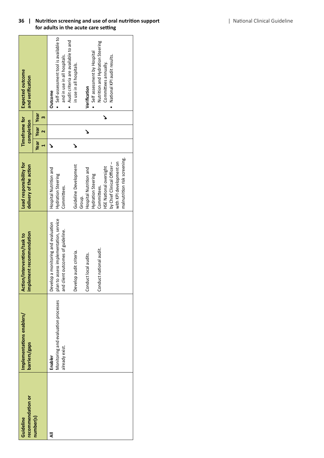| recommendation or<br>Guideline | Implementations enablers/<br>barriers/gaps     | implement recommendation<br>Action/intervention/task to                       | Lead responsibility for<br>delivery of the action       | <b>Timeframe for</b><br>completion |                         | Expected outcome<br>and verification                                |
|--------------------------------|------------------------------------------------|-------------------------------------------------------------------------------|---------------------------------------------------------|------------------------------------|-------------------------|---------------------------------------------------------------------|
| number(s)                      |                                                |                                                                               |                                                         |                                    | Year   Year   Year<br>m |                                                                     |
| ₹                              | Monitoring and evaluation processes<br>Enabler | plan to assess implementation, service<br>Develop a monitoring and evaluation | Hospital Nutrition and<br>Hydration Steering            |                                    |                         | • Self-assessment tool is available to<br><b>Outcome</b>            |
|                                | already exist.                                 | and client outcomes of guideline.                                             | Committees.                                             |                                    |                         | Audit criteria are available to and<br>and in use in all hospitals. |
|                                |                                                | audit criteria.<br>Develop                                                    | Guideline Development<br>Group.                         |                                    |                         | in use in all hospitals.                                            |
|                                |                                                | local audits.<br>Conduct                                                      | Hospital Nutrition and<br>Hydration Steering            |                                    |                         | • Self assessment by Hospital<br>Verification                       |
|                                |                                                | national audit.<br>Conduct                                                    | <b>HSE National oversight</b><br>Committees.            |                                    |                         | Nutrition and Hydration Steering<br>Committees annually.            |
|                                |                                                |                                                                               | by Chief Clinical Officer-                              |                                    |                         | National KPI audit results.                                         |
|                                |                                                |                                                                               | malnutrition risk screening.<br>with KPI development on |                                    |                         |                                                                     |
|                                |                                                |                                                                               |                                                         |                                    |                         |                                                                     |

# **36 | Nutrition screening and use of oral nutrition support for adults in the acute care setting**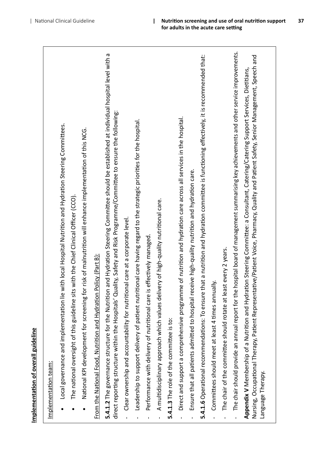| 5<br>j |  |
|--------|--|
|        |  |
|        |  |
|        |  |
|        |  |
|        |  |
|        |  |
|        |  |
|        |  |
|        |  |
|        |  |
|        |  |
|        |  |
|        |  |
|        |  |
|        |  |

# Implementation team:

- Implementation team:<br>• Local governance and implementation lie with local Hospital Nutrition and Hydration Steering Committees.<br>• The national oversight of this guideline sits with the Chief Clinical Officer (CCO).<br>• Natio Local governance and implementation lie with local Hospital Nutrition and Hydration Steering Committees.
	- The national oversight of this guideline sits with the Chief Clinical Officer (CCO)
- National KPI development for screening for risk of malnutrition will enhance implementation of this NCG.

# From the National Food, Nutrition and Hydration Policy (Part B):

5.4.1.2 The governance structure for the Nutrition and Hydration Steering Committee should be established at individual hospital level with a **5.4.1.2** The governance structure for the Nutrition and Hydration Steering Committee should be established at individual hospital level with a direct reporting structure within the Hospitals' Quality, Safety and Risk Programme/Committee to ensure the following: direct reporting structure within the Hospitals' Quality, Safety and Risk Programme/Committee to ensure the following:

 Clear ownership and accountability for nutritional care at a corporate level. Clear ownership and accountability for nutritional care at a corporate level.

-

- Leadership to support delivery of patient nutritional care having regard to the strategic priorities for the hospital. Leadership to support delivery of patient nutritional care having regard to the strategic priorities for the hospital. -
- Performance with delivery of nutritional care is effectively managed. Performance with delivery of nutritional care is effectively managed. -
- A multidisciplinary approach which values delivery of high-quality nutritional care. A multidisciplinary approach which values delivery of high-quality nutritional care.

**5.4.1.3** The role of the committee is to: 5.4.1.3 The role of the committee is to:

-

- Direct and support a comprehensive programme of nutrition and hydration care across all services in the hospital. Direct and support a comprehensive programme of nutrition and hydration care across all services in the hospital -
- Ensure that all patients admitted to hospital receive high-quality nutrition and hydration care. Ensure that all patients admitted to hospital receive high-quality nutrition and hydration care. -

**5.4.1.6** Operational recommendations: To ensure that a nutrition and hydration committee is functioning effectively, it is recommended that: 5.4.1.6 Operational recommendations: To ensure that a nutrition and hydration committee is functioning effectively, it is recommended that:

 Committees should meet at least 4 times annually. Committees should meet at least 4 times annually.

-

-

- The chair of the committee should rotate at least every 2 years. The chair of the committee should rotate at least every 2 years.
- The chair should provide an annual report for the hospital board of management summarising key achievements and other service improvements. The chair should provide an annual report for the hospital board of management summarising key achievements and other service improvements.

Nursing, Occupational Therapy, Patient Representative/Patient Voice, Pharmacy, Quality and Patient Safety, Senior Management, Speech and Nursing, Occupational Therapy, Patient Representative/Patient Voice, Pharmacy, Quality and Patient Safety, Senior Management, Speech and **Appendix V** Membership of a Nutrition and Hydration Steering Committee: a Consultant, Catering/Catering Support Services, Dietitians, Appendix V Membership of a Nutrition and Hydration Steering Committee: a Consultant, Catering/Catering Support Services, Dietitians, Language Therapy. Language Therapy.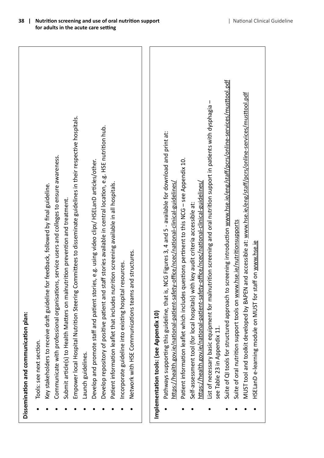Tools: see next section. • Tools: see next section.

•

- (ey stakeholders to receive draft guideline for feedback, followed by final guideline. Key stakeholders to receive draft guideline for feedback, followed by final guideline. •
- Communicate with professional organisations, service users and colleges to ensure awareness. Communicate with professional organisations, service users and colleges to ensure awareness. •
- Submit article(s) to Health Matters on malnutrition prevention and treatment. Submit article(s) to Health Matters on malnutrition prevention and treatment. •
- Empower local Hospital Nutrition Steering Committees to disseminate guidelines in their respective hospitals. Empower local Hospital Nutrition Steering Committees to disseminate guidelines in their respective hospitals. •
- Launch guidelines. • Launch guidelines. •

•

- Develop and promote staff and patient stories, e.g. using video clips/HSELanD articles/other. Develop and promote staff and patient stories, e.g. using video clips/ HSELanD articles/other.
- Develop repository of positive patient and staff stories available in central location, e.g. HSE nutrition hub. Develop repository of positive patient and staff stories available in central location, e.g. HSE nutrition hub. •
- Patient information leaflet that includes nutrition screening available in all hospitals. Patient information leaflet that includes nutrition screening available in all hospitals. •
- ncorporate guideline into existing hospital resources. Incorporate guideline into existing hospital resources. •
- Network with HSE Communications teams and structures. Network with HSE Communications teams and structures. •

# Implementation tools: (see Appendix 10) **Implementation tools: (see Appendix 10)**

- Pathways supporting this guideline, that is, NCG Figures 3, 4 and 5 available for download and print at: Pathways supporting this guideline, that is, NCG Figures 3, 4 and 5 - available for download and print at: https://health.gov.ie/national-patient-safety-office/ncec/national-clinical-guidelines/ https://health.gov.ie/national-patient-safety-office/ncec/national-clinical-guidelines/ •
	- Patient information leaflet which includes questions pertinent to this NCG see Appendix 10. Patient information leaflet which includes questions pertinent to this NCG - see Appendix 10 •
- https://health.gov.ie/national-patient-safety-office/ncec/national-clinical-guidelines/ https://health.gov.ie/national-patient-safety-office/ncec/national-clinical-guidelines/ Self-assessment tool (for local hospitals) with key audit criteria accessible at: Self-assessment tool (for local hospitals) with key audit criteria accessible at: •
- List of necessary basic equipment for malnutrition screening and oral nutrition support in patients with dysphagia List of necessary basic equipment for malnutrition screening and oral nutrition support in patients with dysphagia see Table 23 in Appendix 11. see Table 23 in Appendix 11. •
- Suite of QI tools for structured approach to screening introduction www.hse.ie/eng/staff/pcrs/online-services/musttool.pdf Suite of QI tools for structured approach to screening introduction www.hse.ie/eng/staff/pcrs/online-services/musttool.pdf •
- Suite of oral nutrition support tools on www.hse.ie/nutritionsupports Suite of oral nutrition support tools on www.hse.ie/nutritionsupports •
- MUST tool and toolkit developed by BAPEN and accessible at: www.hse.ie/eng/staff/pcrs/online-services/musttool.pdf MUST tool and toolkit developed by BAPEN and accessible at: www.hse.ie/eng/staff/pcrs/online-services/musttool.pdf •
- HSELanD e-learning module on MUST for staff on www.hse.ie HSELanD e-learning module on MUST for staff on www.hse.ie•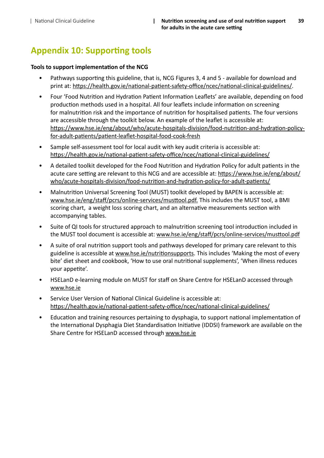# <span id="page-46-0"></span>**Appendix 10: Supporting tools**

# **Tools to support implementation of the NCG**

- Pathways supporting this guideline, that is, NCG Figures 3, 4 and 5 available for download and print at: https://health.gov.ie/national-patient-safety-office/ncec/national-clinical-guidelines/.
- Four 'Food Nutrition and Hydration Patient Information Leaflets' are available, depending on food production methods used in a hospital. All four leaflets include information on screening for malnutrition risk and the importance of nutrition for hospitalised patients. The four versions are accessible through the toolkit below. An example of the leaflet is accessible at: https://www.hse.ie/eng/about/who/acute-hospitals-division/food-nutrition-and-hydration-policy for-adult-patients/patient-leaflet-hospital-food-cook-fresh
- Sample self-assessment tool for local audit with key audit criteria is accessible at: https://health.gov.ie/national-patient-safety-office/ncec/national-clinical-guidelines/
- A detailed toolkit developed for the Food Nutrition and Hydration Policy for adult patients in the acute care setting are relevant to this NCG and are accessible at: https://www.hse.ie/eng/about/ who/acute-hospitals-division/food-nutrition-and-hydration-policy-for-adult-patients/
- Malnutrition Universal Screening Tool (MUST) toolkit developed by BAPEN is accessible at: www.hse.ie/eng/staff/pcrs/online-services/musttool.pdf. This includes the MUST tool, a BMI scoring chart, a weight loss scoring chart, and an alternative measurements section with accompanying tables.
- Suite of QI tools for structured approach to malnutrition screening tool introduction included in the MUST tool document is accessible at: www.hse.ie/eng/staff/pcrs/online-services/musttool.pdf
- A suite of oral nutrition support tools and pathways developed for primary care relevant to this guideline is accessible at www.hse.ie/nutritionsupports. This includes 'Making the most of every bite' diet sheet and cookbook, 'How to use oral nutritional supplements', 'When illness reduces your appetite'.
- HSELanD e-learning module on MUST for staff on Share Centre for HSELanD accessed through www.hse.ie
- Service User Version of National Clinical Guideline is accessible at: https://health.gov.ie/national-patient-safety-office/ncec/national-clinical-guidelines/
- Education and training resources pertaining to dysphagia, to support national implementation of the International Dysphagia Diet Standardisation Initiative (IDDSI) framework are available on the Share Centre for HSELanD accessed through www.hse.ie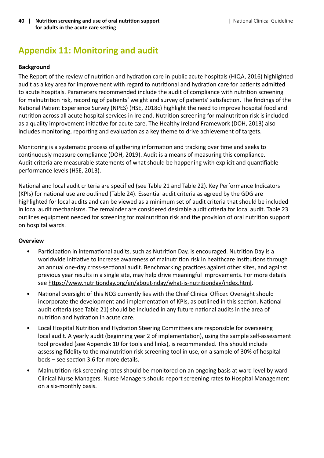# <span id="page-47-0"></span>**Appendix 11: Monitoring and audit**

# **Background**

The Report of the review of nutrition and hydration care in public acute hospitals (HIQA, 2016) highlighted audit as a key area for improvement with regard to nutritional and hydration care for patients admitted to acute hospitals. Parameters recommended include the audit of compliance with nutrition screening for malnutrition risk, recording of patients' weight and survey of patients' satisfaction. The findings of the National Patient Experience Survey (NPES) (HSE, 2018c) highlight the need to improve hospital food and nutrition across all acute hospital services in Ireland. Nutrition screening for malnutrition risk is included as a quality improvement initiative for acute care. The Healthy Ireland Framework (DOH, 2013) also includes monitoring, reporting and evaluation as a key theme to drive achievement of targets.

Monitoring is a systematic process of gathering information and tracking over time and seeks to continuously measure compliance (DOH, 2019). Audit is a means of measuring this compliance. Audit criteria are measurable statements of what should be happening with explicit and quantifiable performance levels (HSE, 2013).

National and local audit criteria are specified (see Table 21 and Table 22). Key Performance Indicators (KPIs) for national use are outlined (Table 24). Essential audit criteria as agreed by the GDG are highlighted for local audits and can be viewed as a minimum set of audit criteria that should be included in local audit mechanisms. The remainder are considered desirable audit criteria for local audit. Table 23 outlines equipment needed for screening for malnutrition risk and the provision of oral nutrition support on hospital wards.

# **Overview**

- Participation in international audits, such as Nutrition Day, is encouraged. Nutrition Day is a worldwide initiative to increase awareness of malnutrition risk in healthcare institutions through an annual one-day cross-sectional audit. Benchmarking practices against other sites, and against previous year results in a single site, may help drive meaningful improvements. For more details see https://www.nutritionday.org/en/about-nday/what-is-nutritionday/index.html.
- National oversight of this NCG currently lies with the Chief Clinical Officer. Oversight should incorporate the development and implementation of KPIs, as outlined in this section. National audit criteria (see Table 21) should be included in any future national audits in the area of nutrition and hydration in acute care.
- Local Hospital Nutrition and Hydration Steering Committees are responsible for overseeing local audit. A yearly audit (beginning year 2 of implementation), using the sample self-assessment tool provided (see Appendix 10 for tools and links), is recommended. This should include assessing fidelity to the malnutrition risk screening tool in use, on a sample of 30% of hospital beds – see section 3.6 for more details.
- Malnutrition risk screening rates should be monitored on an ongoing basis at ward level by ward Clinical Nurse Managers. Nurse Managers should report screening rates to Hospital Management on a six-monthly basis.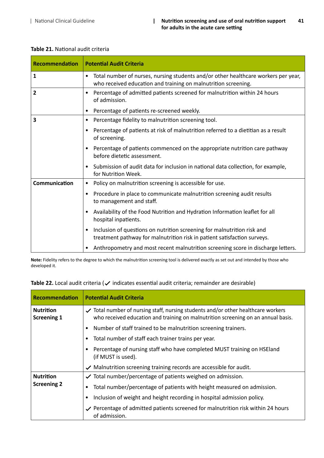# **Table 21.** National audit criteria

| <b>Recommendation</b> | <b>Potential Audit Criteria</b>                                                                                                                                   |
|-----------------------|-------------------------------------------------------------------------------------------------------------------------------------------------------------------|
| 1                     | Total number of nurses, nursing students and/or other healthcare workers per year,<br>$\bullet$<br>who received education and training on malnutrition screening. |
| $\overline{2}$        | Percentage of admitted patients screened for malnutrition within 24 hours<br>$\bullet$<br>of admission.                                                           |
|                       | Percentage of patients re-screened weekly.<br>$\bullet$                                                                                                           |
| 3                     | Percentage fidelity to malnutrition screening tool.<br>٠                                                                                                          |
|                       | Percentage of patients at risk of malnutrition referred to a dietitian as a result<br>٠<br>of screening.                                                          |
|                       | Percentage of patients commenced on the appropriate nutrition care pathway<br>$\bullet$<br>before dietetic assessment.                                            |
|                       | Submission of audit data for inclusion in national data collection, for example,<br>$\bullet$<br>for Nutrition Week.                                              |
| Communication         | Policy on malnutrition screening is accessible for use.<br>$\bullet$                                                                                              |
|                       | Procedure in place to communicate malnutrition screening audit results<br>٠<br>to management and staff.                                                           |
|                       | Availability of the Food Nutrition and Hydration Information leaflet for all<br>$\bullet$<br>hospital inpatients.                                                 |
|                       | Inclusion of questions on nutrition screening for malnutrition risk and<br>٠<br>treatment pathway for malnutrition risk in patient satisfaction surveys.          |
|                       | Anthropometry and most recent malnutrition screening score in discharge letters.<br>٠                                                                             |

**Note:** Fidelity refers to the degree to which the malnutrition screening tool is delivered exactly as set out and intended by those who developed it.

# Table 22. Local audit criteria (✓ indicates essential audit criteria; remainder are desirable)

| Recommendation                         | <b>Potential Audit Criteria</b>                                                                                                                                                   |
|----------------------------------------|-----------------------------------------------------------------------------------------------------------------------------------------------------------------------------------|
| <b>Nutrition</b><br><b>Screening 1</b> | $\checkmark$ Total number of nursing staff, nursing students and/or other healthcare workers<br>who received education and training on malnutrition screening on an annual basis. |
|                                        | Number of staff trained to be malnutrition screening trainers.<br>٠                                                                                                               |
|                                        | Total number of staff each trainer trains per year.                                                                                                                               |
|                                        | Percentage of nursing staff who have completed MUST training on HSE land<br>(if MUST is used).                                                                                    |
|                                        | $\checkmark$ Malnutrition screening training records are accessible for audit.                                                                                                    |
| <b>Nutrition</b><br><b>Screening 2</b> | $\checkmark$ Total number/percentage of patients weighed on admission.                                                                                                            |
|                                        | Total number/percentage of patients with height measured on admission.<br>٠                                                                                                       |
|                                        | Inclusion of weight and height recording in hospital admission policy.<br>$\bullet$                                                                                               |
|                                        | $\checkmark$ Percentage of admitted patients screened for malnutrition risk within 24 hours<br>of admission.                                                                      |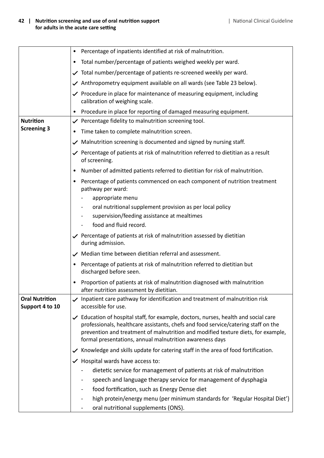|                                          | Percentage of inpatients identified at risk of malnutrition.<br>$\bullet$                                                                                                                                                                                                                                                             |
|------------------------------------------|---------------------------------------------------------------------------------------------------------------------------------------------------------------------------------------------------------------------------------------------------------------------------------------------------------------------------------------|
|                                          | Total number/percentage of patients weighed weekly per ward.<br>$\bullet$                                                                                                                                                                                                                                                             |
|                                          | $\checkmark$ Total number/percentage of patients re-screened weekly per ward.                                                                                                                                                                                                                                                         |
|                                          | $\checkmark$ Anthropometry equipment available on all wards (see Table 23 below).                                                                                                                                                                                                                                                     |
|                                          | $\checkmark$ Procedure in place for maintenance of measuring equipment, including<br>calibration of weighing scale.                                                                                                                                                                                                                   |
|                                          | Procedure in place for reporting of damaged measuring equipment.<br>$\bullet$                                                                                                                                                                                                                                                         |
| <b>Nutrition</b>                         | $\checkmark$ Percentage fidelity to malnutrition screening tool.                                                                                                                                                                                                                                                                      |
| <b>Screening 3</b>                       | Time taken to complete malnutrition screen.<br>$\bullet$                                                                                                                                                                                                                                                                              |
|                                          | $\checkmark$ Malnutrition screening is documented and signed by nursing staff.                                                                                                                                                                                                                                                        |
|                                          | $\checkmark$ Percentage of patients at risk of malnutrition referred to dietitian as a result<br>of screening.                                                                                                                                                                                                                        |
|                                          | Number of admitted patients referred to dietitian for risk of malnutrition.<br>$\bullet$                                                                                                                                                                                                                                              |
|                                          | Percentage of patients commenced on each component of nutrition treatment<br>$\bullet$<br>pathway per ward:                                                                                                                                                                                                                           |
|                                          | appropriate menu                                                                                                                                                                                                                                                                                                                      |
|                                          | oral nutritional supplement provision as per local policy<br>supervision/feeding assistance at mealtimes                                                                                                                                                                                                                              |
|                                          | food and fluid record.                                                                                                                                                                                                                                                                                                                |
|                                          | $\checkmark$ Percentage of patients at risk of malnutrition assessed by dietitian<br>during admission.                                                                                                                                                                                                                                |
|                                          | $\checkmark$ Median time between dietitian referral and assessment.                                                                                                                                                                                                                                                                   |
|                                          | Percentage of patients at risk of malnutrition referred to dietitian but<br>$\bullet$<br>discharged before seen.                                                                                                                                                                                                                      |
|                                          | Proportion of patients at risk of malnutrition diagnosed with malnutrition<br>٠<br>after nutrition assessment by dietitian.                                                                                                                                                                                                           |
| <b>Oral Nutrition</b><br>Support 4 to 10 | $\checkmark$ Inpatient care pathway for identification and treatment of malnutrition risk<br>accessible for use.                                                                                                                                                                                                                      |
|                                          | $\checkmark$ Education of hospital staff, for example, doctors, nurses, health and social care<br>professionals, healthcare assistants, chefs and food service/catering staff on the<br>prevention and treatment of malnutrition and modified texture diets, for example,<br>formal presentations, annual malnutrition awareness days |
|                                          | $\swarrow$ Knowledge and skills update for catering staff in the area of food fortification.                                                                                                                                                                                                                                          |
|                                          | $\checkmark$ Hospital wards have access to:                                                                                                                                                                                                                                                                                           |
|                                          | dietetic service for management of patients at risk of malnutrition                                                                                                                                                                                                                                                                   |
|                                          | speech and language therapy service for management of dysphagia                                                                                                                                                                                                                                                                       |
|                                          | food fortification, such as Energy Dense diet                                                                                                                                                                                                                                                                                         |
|                                          | high protein/energy menu (per minimum standards for 'Regular Hospital Diet')                                                                                                                                                                                                                                                          |
|                                          | oral nutritional supplements (ONS).                                                                                                                                                                                                                                                                                                   |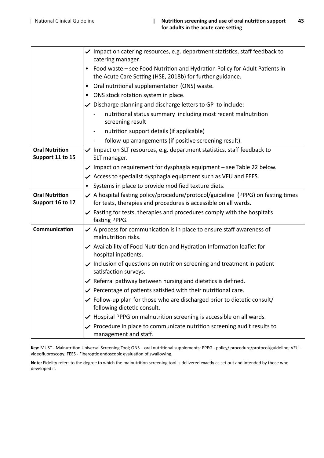|                                           | $\checkmark$ Impact on catering resources, e.g. department statistics, staff feedback to<br>catering manager.                                       |
|-------------------------------------------|-----------------------------------------------------------------------------------------------------------------------------------------------------|
|                                           | Food waste – see Food Nutrition and Hydration Policy for Adult Patients in<br>٠<br>the Acute Care Setting (HSE, 2018b) for further guidance.        |
|                                           | Oral nutritional supplementation (ONS) waste.<br>٠                                                                                                  |
|                                           | ONS stock rotation system in place.<br>٠                                                                                                            |
|                                           | $\checkmark$ Discharge planning and discharge letters to GP to include:                                                                             |
|                                           | nutritional status summary including most recent malnutrition<br>screening result                                                                   |
|                                           | nutrition support details (if applicable)<br>$\blacksquare$                                                                                         |
|                                           | follow-up arrangements (if positive screening result).                                                                                              |
| <b>Oral Nutrition</b><br>Support 11 to 15 | $\checkmark$ Impact on SLT resources, e.g. department statistics, staff feedback to<br>SLT manager.                                                 |
|                                           | $\checkmark$ Impact on requirement for dysphagia equipment – see Table 22 below.                                                                    |
|                                           | $\checkmark$ Access to specialist dysphagia equipment such as VFU and FEES.                                                                         |
|                                           | Systems in place to provide modified texture diets.                                                                                                 |
| <b>Oral Nutrition</b><br>Support 16 to 17 | ✓ A hospital fasting policy/procedure/protocol/guideline (PPPG) on fasting times<br>for tests, therapies and procedures is accessible on all wards. |
|                                           | $\checkmark$ Fasting for tests, therapies and procedures comply with the hospital's<br>fasting PPPG.                                                |
| Communication                             | $\checkmark$ A process for communication is in place to ensure staff awareness of<br>malnutrition risks.                                            |
|                                           | ✓ Availability of Food Nutrition and Hydration Information leaflet for<br>hospital inpatients.                                                      |
|                                           | $\checkmark$ Inclusion of questions on nutrition screening and treatment in patient<br>satisfaction surveys.                                        |
|                                           | $\checkmark$ Referral pathway between nursing and dietetics is defined.                                                                             |
|                                           | $\checkmark$ Percentage of patients satisfied with their nutritional care.                                                                          |
|                                           | $\checkmark$ Follow-up plan for those who are discharged prior to dietetic consult/<br>following dietetic consult.                                  |
|                                           | ✓ Hospital PPPG on malnutrition screening is accessible on all wards.                                                                               |
|                                           | $\checkmark$ Procedure in place to communicate nutrition screening audit results to<br>management and staff.                                        |

**Key:** MUST - Malnutrition Universal Screening Tool; ONS – oral nutritional supplements; PPPG - policy/ procedure/protocol/guideline; VFU – videofluoroscopy; FEES - Fiberoptic endoscopic evaluation of swallowing.

**Note:** Fidelity refers to the degree to which the malnutrition screening tool is delivered exactly as set out and intended by those who developed it.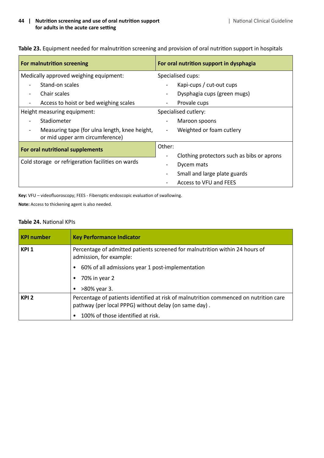# **44 | Nutrition screening and use of oral nutrition support for adults in the acute care setting**

# **Table 23.** Equipment needed for malnutrition screening and provision of oral nutrition support in hospitals

| For malnutrition screening                                                       | For oral nutrition support in dysphagia    |
|----------------------------------------------------------------------------------|--------------------------------------------|
| Medically approved weighing equipment:                                           | Specialised cups:                          |
| Stand-on scales                                                                  | Kapi-cups / cut-out cups                   |
| Chair scales                                                                     | Dysphagia cups (green mugs)                |
| Access to hoist or bed weighing scales                                           | Provale cups                               |
| Height measuring equipment:                                                      | Specialised cutlery:                       |
| Stadiometer                                                                      | Maroon spoons                              |
| Measuring tape (for ulna length, knee height,<br>or mid upper arm circumference) | Weighted or foam cutlery                   |
| For oral nutritional supplements                                                 | Other:                                     |
|                                                                                  | Clothing protectors such as bibs or aprons |
| Cold storage or refrigeration facilities on wards                                | Dycem mats                                 |
|                                                                                  | Small and large plate guards               |
|                                                                                  | Access to VFU and FEES                     |

**Key:** VFU – videofluoroscopy; FEES - Fiberoptic endoscopic evaluation of swallowing.

**Note:** Access to thickening agent is also needed.

# **Table 24.** National KPIs

| <b>KPI number</b> | <b>Key Performance Indicator</b>                                                                                                               |
|-------------------|------------------------------------------------------------------------------------------------------------------------------------------------|
| KPI <sub>1</sub>  | Percentage of admitted patients screened for malnutrition within 24 hours of<br>admission, for example:                                        |
|                   | 60% of all admissions year 1 post-implementation                                                                                               |
|                   | 70% in year 2<br>$\bullet$                                                                                                                     |
|                   | >80% year 3.<br>$\bullet$                                                                                                                      |
| KPI <sub>2</sub>  | Percentage of patients identified at risk of malnutrition commenced on nutrition care<br>pathway (per local PPPG) without delay (on same day). |
|                   | 100% of those identified at risk.                                                                                                              |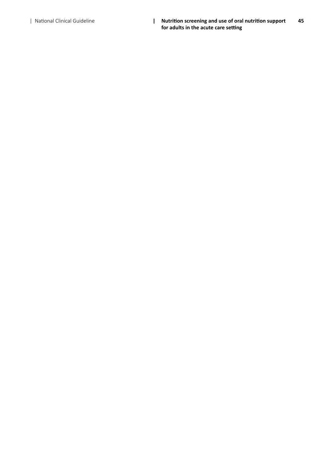**| Nutrition screening and use of oral nutrition support 45 for adults in the acute care setting**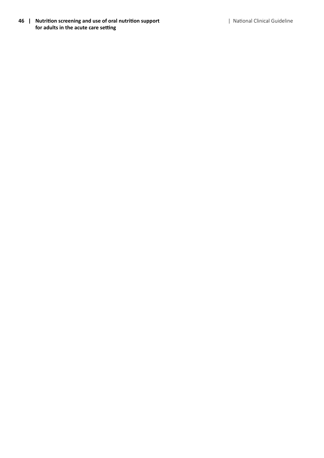**46 | Nutrition screening and use of oral nutrition support for adults in the acute care setting**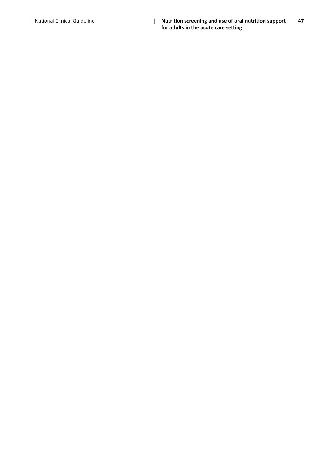**| Nutrition screening and use of oral nutrition support 47 for adults in the acute care setting**